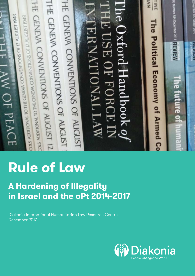THE GENEVA CONVENTIONS OF AUGUST 12.<br>THE GENEVA CONVENTIONS OF AUGUST 12. HE GENEVA CONVENTIONS OF AUGUST HE GENEVA CONVENTIONS OF AUGUST The Oxford Handbook of NAI TINE ag Number 894 December 2011 **REVIEW** LHE USE OF FORCE IN E J V JU H H H CENEVA CONVENTIONS OF 12 AUGUST 1949 **CENTERY CONVENTIONS OF IZ AUGUST 1949** The Political Economy of Armed Co ERNATIONAL LAW HEI AW OF PEACE he future o

# **Rule of Law**

## **A Hardening of Illegality in Israel and the oPt 2014-2017**

Diakonia International Humanitarian Law Resource Centre December 2017

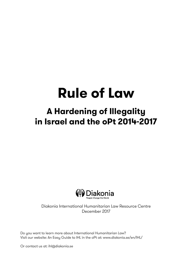## **A Hardening of Illegality in Israel and the oPt 2014-2017**



Diakonia International Humanitarian Law Resource Centre December 2017

Do you want to learn more about International Humanitarian Law? Visit our website: An Easy Guide to IHL in the oPt at: www.diakonia.se/en/IHL/

Or contact us at: ihl@diakonia.se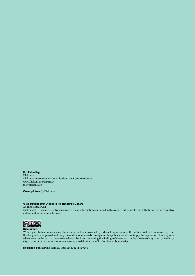**Published by:**  Diakonia Diakonia International Humanitarian Law Resource Centre www.diakonia.se/en/IHL/ ihl@diakonia.se

**Cover picture ©** Diakonia

#### **© Copyright 2017 Diakonia IHL Resource Centre**

All Rights Reserved

Diakonia IHL Resource Centre encourages use of information contained in this report but requests that full citation to the respective author and to the source be made.



#### **Disclaimer:**

With regard to testimonies, case studies and pictures provided by external organisations, the author wishes to acknowledge that the designation employed and the presentation of materials throughout this publication do not imply the expression of any opinion whatsoever on the part of those external organisations concerning the findings of the report, the legal status of any country, territory, city or area or of its authorities or concerning the delimitation of its frontiers or boundaries.

**Designed by:** Marwan Hamad, InterTech, 02-295 7270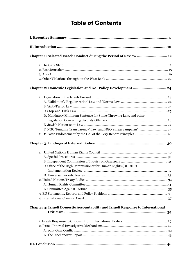## **Table of Contents**

| Chapter 1: Selected Israeli Conduct during the Period of Review  12                     |  |
|-----------------------------------------------------------------------------------------|--|
|                                                                                         |  |
|                                                                                         |  |
|                                                                                         |  |
|                                                                                         |  |
| Chapter 2: Domestic Legislation and GoI Policy Development  24                          |  |
|                                                                                         |  |
|                                                                                         |  |
|                                                                                         |  |
|                                                                                         |  |
| D. Mandatory Minimum Sentence for Stone-Throwing Law, and other                         |  |
|                                                                                         |  |
|                                                                                         |  |
|                                                                                         |  |
| 2. De Facto Endorsement by the GoI of the Levy Report Principles  28                    |  |
|                                                                                         |  |
|                                                                                         |  |
|                                                                                         |  |
|                                                                                         |  |
| C. Office of the High Commissioner for Human Rights (OHCHR) -                           |  |
|                                                                                         |  |
|                                                                                         |  |
|                                                                                         |  |
|                                                                                         |  |
|                                                                                         |  |
|                                                                                         |  |
|                                                                                         |  |
| <b>Chapter 4: Israeli Domestic Accountability and Israeli Response to International</b> |  |
|                                                                                         |  |
|                                                                                         |  |
|                                                                                         |  |
|                                                                                         |  |
|                                                                                         |  |
|                                                                                         |  |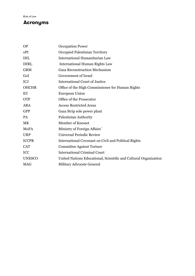### **Acronyms**

| <b>OP</b>     | <b>Occupation Power</b>                                          |
|---------------|------------------------------------------------------------------|
| oPt           | Occupied Palestinian Territory                                   |
| <b>IHL</b>    | International Humanitarian Law                                   |
| <b>IHRL</b>   | <b>International Human Rights Law</b>                            |
| <b>GRM</b>    | <b>Gaza Reconstruction Mechanism</b>                             |
| GoI           | Government of Israel                                             |
| <b>ICJ</b>    | <b>International Court of Justice</b>                            |
| <b>OHCHR</b>  | Office of the High Commissioner for Human Rights                 |
| EU            | <b>European Union</b>                                            |
| <b>OTP</b>    | Office of the Prosecutor                                         |
| <b>ARA</b>    | <b>Access Restricted Areas</b>                                   |
| <b>GPP</b>    | Gaza Strip sole power plant                                      |
| <b>PA</b>     | Palestinian Authority                                            |
| MK            | <b>Member of Knesset</b>                                         |
| MoFA          | Ministry of Foreign Affairs'                                     |
| <b>URP</b>    | <b>Universal Periodic Review</b>                                 |
| <b>ICCPR</b>  | International Covenant on Civil and Political Rights             |
| <b>CAT</b>    | <b>Committee Against Torture</b>                                 |
| ICC           | <b>International Criminal Court</b>                              |
| <b>UNESCO</b> | United Nations Educational, Scientific and Cultural Organization |
| <b>MAG</b>    | Military Advocate General                                        |
|               |                                                                  |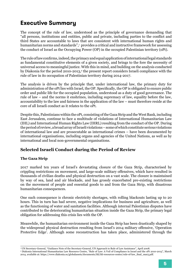## **Executive Summary**

The concept of the rule of law, understood as the principle of governance demanding that "all persons, institutions and entities, public and private, including parties to the conflict and third States are accountable to laws that are consistent with international human rights and humanitarian norms and standards",1 provides a critical and instructive framework for assessing the conduct of Israel as the Occupying Power (OP) in the occupied Palestinian territory (oPt).

The rule of law confirms, indeed, the primacy and equal application of international legal standards as fundamental constitutive elements of a given society, and brings to the fore the necessity of universal access to meaningful justice. With this in mind, and building on the analysis conducted by Diakonia for the period 2010-2013,<sup>2</sup> the present report considers Israeli compliance with the rule of law in its occupation of Palestinian territory during 2014-2017.

The analysis is driven by the principle that, under international law, the primary duty for administration of the oPt lies with Israel, the OP. Specifically, the OP is obligated to ensure public order and public life for the occupied population, understood as a duty of good governance. The rule of law – and the norms it enshrines, including supremacy of law, equality before the law, accountability to the law and fairness in the application of the law – must therefore reside at the core of all Israeli conduct as it relates to the oPt.

Despite this, Palestinians within the oPt, consisting of the Gaza Strip and the West Bank, including East Jerusalem, continue to face a multitude of violations of International Humanitarian Law (IHL) and International Human Rights Law (IHRL) resulting from the conduct of the OP. During the period of review, a broad array of Israeli violations – some of which constitute serious violations of international law and are prosecutable as international crimes – have been documented by international organisations, including organs and agencies of the United Nations, as well as by international and local non-governmental organisations.

### **Selected Israeli Conduct during the Period of Review**

#### **The Gaza Strip**

2017 marked ten years of Israel's devastating closure of the Gaza Strip, characterised by crippling restrictions on movement, and large-scale military offensives, which have resulted in thousands of civilian deaths and physical destruction on a vast scale. The closure is maintained by way of sea, land and air blockade, and has grossly exacerbated pre-existing restrictions on the movement of people and essential goods to and from the Gaza Strip, with disastrous humanitarian consequences.

One such consequence is chronic electricity shortages, with rolling blackouts lasting up to 20 hours. This in turn has had severe, negative implications for business and agriculture, as well as the functioning of water and sanitation facilities. Although internal Palestinian disputes have contributed to the deteriorating humanitarian situation inside the Gaza Strip, the primary legal obligation for addressing this crisis lies with the OP.

Meanwhile, the humanitarian environment inside the Gaza Strip has been drastically shaped by the widespread physical destruction resulting from Israel's 2014 military offensive, 'Operation Protective Edge'. Although some reconstruction has taken place, administered through the

<sup>1</sup> UN Secretary-General, "Guidance Note of the Secretary-General, UN Approach to Rule of Law Assistance", April 2008.

<sup>2</sup> Diakonia International Humanitarian Law Resource Centre, "Rule of Law: A Veil of Compliance in Israel and the oPt 2010-2013", March 2014, available at: https://www.diakonia.se/globalassets/documents/ihl/ihl-resources-center/rule-of-law\_final\_mar5.pdf.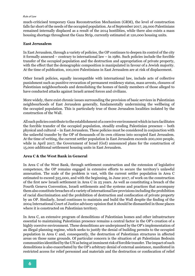much-criticised temporary Gaza Reconstruction Mechanism (GRM), the level of construction falls far short of the needs of the occupied population. As of September 2017, 29,000 Palestinians remained internally displaced as a result of the 2014 hostilities, while there also exists a mass housing shortage throughout the Gaza Strip, currently estimated at 120,000 housing units.

#### **East Jerusalem**

In East Jerusalem, through a variety of policies, the OP continues to deepen its control of the city it formally annexed – contrary to international law – in 1980. Such policies include the forcible transfer of the occupied population and the destruction and appropriation of private property, with the effect that the demographic composition is manipulated in favour of a Jewish majority. At the time of publication, 100,000 Palestinians in East Jerusalem are at risk of displacement.

Other Israeli policies, equally incompatible with international law, include acts of collective punishment such as punitive revocation of permanent residency status, mass arrests, closures of Palestinian neighbourhoods and demolishing the homes of family members of those alleged to have conducted attacks against Israeli armed forces and civilians.

More widely, there exist chronic issues surrounding the provision of basic services in Palestinian neighbourhoods of East Jerusalem generally, fundamentally undermining the wellbeing of the occupied population. This is particularly true of those Jerusalem localities isolated by the construction of the Wall.

All such policies contribute to the establishment of a coercive environment which in turn facilitates the forcible transfer of the occupied population, steadily eroding Palestinian presence – both physical and cultural – in East Jerusalem. These policies must be considered in conjunction with the unlawful transfer by the OP of thousands of its own citizens into occupied East Jerusalem. At the time of writing, the current settler population in East Jerusalem exceeds 200,000 people, while in April 2017, the Government of Israel (GoI) announced plans for the construction of 15,000 additional settlement housing units in East Jerusalem.

#### **Area C & the West Bank in General**

In Area C of the West Bank, through settlement construction and the extension of legislative competence, the OP remains engaged in extensive efforts to secure the territory's unlawful annexation. The scale of the problem is vast, with the current settler population in Area C estimated to exceed 325,000, and with the beginning, in June 2017, of work on the construction of the first new Israeli settlement in Area C in 25 years. As well as constituting a breach of the Fourth Geneva Convention, Israeli settlements and the systems and practices that accompany them also constitute breaches of a variety of international law provisions including the prohibition of racial discrimination and the prohibition of destruction and confiscation of private property by an OP. Similarly, Israel continues to maintain and build the Wall despite the finding of the 2004 International Court of Justice advisory opinion that it should be dismantled in those places where it is constructed on Palestinian territory.

In Area C, an extensive program of demolitions of Palestinian homes and other infrastructure essential to maintaining Palestinian presence remains a central factor in the OP's creation of a highly coercive environment. These demolitions are underpinned by the OP's implementation of an illegal planning regime, which seeks to justify the denial of building permits to the occupied population in Area C and, consequently, the destruction of Palestinian structures in affected areas on those same grounds. Of particular concern is the situation of 46 Palestinian Bedouin communities identified by the UN as being at imminent risk of forcible transfer. The impact of such demolitions is also exacerbated by the OP's arbitrary denial of external assistance, manifested in restricted access for relief personnel and materials and the destruction or confiscation of relief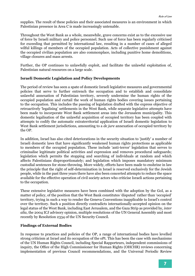supplies. The result of these policies and their associated measures is an environment in which Palestinian presence in Area C is made increasingly untenable.

Throughout the West Bank as a whole, meanwhile, grave concerns exist as to the excessive use of force by Israeli military and police personnel. Such use of force has been regularly criticised for exceeding that permitted by international law, resulting in a number of cases of alleged wilful killings of members of the occupied population. Acts of collective punishment against the occupied civilian population are also commonplace, including punitive home demolitions, village closures and mass arrests.

Further, the OP continues to unlawfully exploit, and facilitate the unlawful exploitation of, Palestinian natural resources on a large scale.

#### **Israeli Domestic Legislation and Policy Developments**

The period of review has seen a spate of domestic Israeli legislative measures and governmental policies that serve to further entrench the occupation and to establish and consolidate unlawful annexation of Palestinian territory, severely undermine the human rights of the occupied population and curtail the work of human rights bodies covering issues pertaining to the occupation. This includes the passing of legislation drafted with the express objective of retroactively 'legalising' settlements in the West Bank, while separate legislative attempts have been made to incorporate West Bank settlement areas into the Jerusalem municipality. This domestic legalisation of the unlawful acquisition of occupied territory has been coupled with attempts to codify the automatic extraterritorial application of Israeli domestic legislation to West Bank settlement jurisdictions, amounting to a *de jure* annexation of occupied territory by the OP.

In addition, Israel has also cited deteriorations in the security situation to 'justify' a number of Israeli domestic laws that have significantly weakened human rights protections as applicable to members of the occupied population. These include 'anti-terror' legislation that serves to criminalise legitimate political activities and expression and removes procedural safeguards; legislation which permits the stopping and searching of individuals at random and which affects Palestinians disproportionately; and legislation which imposes mandatory minimum custodial sentences for stone-throwing. More widely, efforts have been made to enshrine in law the principle that the right of self-determination in Israel is reserved exclusively for the Jewish people, while in the past three years there have also been concerted attempts to reduce the space available for the effective operation of civil society actors who criticise Israeli actions pertaining to the occupation.

These extensive legislative measures have been combined with the adoption by the GoI, as a matter of policy, of the position that the West Bank constitutes 'disputed' rather than 'occupied' territory, trying in such a way to render the Geneva Conventions inapplicable to Israel's control over the territory. Such a position directly contradicts internationally-accepted opinion on the legal status of the West Bank, including East Jerusalem, and the Gaza Strip as provided by, *inter alia*, the 2004 ICJ advisory opinion, multiple resolutions of the UN General Assembly and most recently by Resolution 2334 of the UN Security Council.

#### **Findings of External Bodies**

In response to practices and policies of the OP, a range of international bodies have levelled strong criticism at Israel and its occupation of the oPt. This has been the case with mechanisms of the UN Human Rights Council, including Special Rapporteurs, independent commissions of inquiry, the Office of the High Commissioner for Human Rights (OHCHR) reviews concerning implementation of previous Council recommendations, and the Universal Periodic Review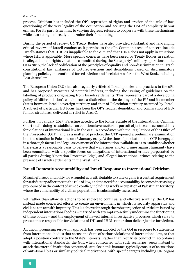process. Criticism has included the OP's repression of rights and erosion of the rule of law, questioning of the very legality of the occupation and accusing the GoI of complicity in war crimes. For its part, Israel has, to varying degrees, refused to cooperate with these mechanisms while also acting to directly undermine their functioning.

During the period of review, UN Treaty Bodies have also provided substantial and far-ranging critical reviews of Israeli conduct as it pertains to the oPt. Common areas of concern include Israel's stances that IHRL is inapplicable to the oPt, and that IHRL does not apply in situations where IHL is applicable. More specific concerns have been raised by Treaty Bodies in relation to alleged human rights violations committed during the State party's military operations in the Gaza Strip, the lack of codification of the principles of equality and non-discrimination in Israeli constitutional law; instances of torture; evictions and demolitions based on discriminatory planning policies, and continued forced eviction and forcible transfer in the West Bank, including East Jerusalem.

The European Union (EU) has also regularly criticised Israeli policies and practices in the oPt, and has proposed measures of potential redress, including the issuing of guidelines on the labelling of products originating from Israeli settlements. This represents part of a developing policy of 'differentiation', which draws a distinction in the dealings of the EU and its member States between Israeli sovereign territory and that of Palestinian territory occupied by Israel. A subject of particular EU focus has been the OP's regular demolition and confiscation of EUfunded structures, delivered as relief in Area C.

Further, in January 2015, Palestine acceded to the Rome Statute of the International Criminal Court and in doing so established an additional avenue for the pursuit of justice and accountability for violations of international law in the oPt. In accordance with the Regulations of the Office of the Prosecutor (OTP), and as a matter of practice, the OTP opened a preliminary examination into the situation in Palestine on 16 January 2015. At the time of publication, the OTP is engaged in a thorough factual and legal assessment of the information available so as to establish whether there exists a reasonable basis to believe that war crimes and/or crimes against humanity have been committed, with a specific focus on allegations of international crimes perpetrated by all parties during 'Operation Protective Edge', and alleged international crimes relating to the presence of Israeli settlements in the West Bank.

#### **Israeli Domestic Accountability and Israeli Response to International Criticism**

Meaningful accountability for wrongful acts attributable to State organs is a central requirement for satisfactory adherence to the rule of law, and the need for accountability becomes increasingly pronounced in the context of armed conflict, including Israel's occupation of Palestinian territory, where the vulnerability of civilian populations is substantially increased.

Yet, rather than allow its actions to be subject to continual and effective scrutiny, the OP has instead made concerted efforts to create an environment in which its security apparatus and civilians can act with impunity. This is achieved through the robust rejection of criticism issued by independent international bodies – married with attempts to actively undermine the functioning of these bodies – and the employment of flawed internal investigative processes which serve to protect those responsible for violations of IHL and IHRL rather than deliver justice for victims.

An uncompromising zero-sum approach has been adopted by the GoI in response to statements from international bodies that accuse the State of serious violations of international law, or that adopt a position contrary to the State's interests. Rather than rectify its conduct in accordance with international standards, the GoI, when confronted with such scenarios, seeks instead to attack the external institution concerned. Attacks in this instance typically consist of accusations of 'anti-Israel' bias or similarly political motivations, with specific targets including UN organs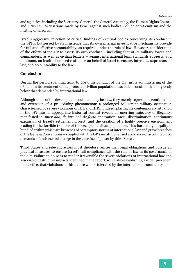and agencies, including the Secretary-General, the General Assembly, the Human Rights Council and UNESCO. Accusations made by Israel against such bodies include anti-Semitism and the inciting of terrorism.

Israel's aggressive rejection of critical findings of external bodies concerning its conduct in the oPt is buttressed by its insistence that its own internal investigative mechanisms provide for full and effective accountability, as required under the rule of law. However, consideration of the efforts of the OP to assess its own conduct – including that of its military forces and commanders, as well as civilian leaders – against international legal standards suggests, at a minimum, an institutionalised resistance on behalf of Israel to ensure, inter alia, supremacy of law, and accountability to the law.

#### **Conclusion**

During the period spanning 2014 to 2017, the conduct of the OP, in its administering of the oPt and in its treatment of the protected civilian population, has fallen consistently and grossly below that demanded by international law.

Although some of the developments outlined may be new, they merely represent a continuation and extension of a pre-existing phenomenon: a prolonged belligerent military occupation characterised by severe violations of IHL and IHRL. Indeed, placing the contemporary situation in the oPt into its appropriate historical context reveals an unerring trajectory of illegality, manifested in, *inter alia*, *de jure* and *de facto* annexation; racial discrimination; continuous expansion of Israel's settlement project; and the creation of a highly coercive environment leading to the forcible transfer of the occupied civilian population. This hardening illegality – bundled within which are breaches of peremptory norms of international law and grave breaches of the Geneva Conventions – coupled with the OP's institutionalised avoidance of accountability, demands a fundamental change in the exercise of power by third States.

Third States and relevant actors must therefore realise their legal obligations and pursue all practical measures to ensure Israel's full compliance with the rule of law in its governance of the oPt. Failure to do so is to render irreversible the severe violations of international law and associated destructive impacts identified in the report, while also establishing a wider precedent to the effect that violations of this nature will be tolerated by the international community.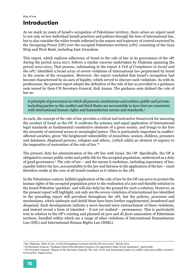## **Introduction**

As we mark 50 years of Israel's occupation of Palestinian territory, there arises an urgent need to not only review individual Israeli practices and policies through the lens of international law, but to also consider the wider trends reflected in the nature and trajectory of control exercised by the Occupying Power (OP) over the occupied Palestinian territory (oPt), consisting of the Gaza Strip and West Bank, including East Jerusalem.

This report, which explores adherence of Israel to the rule of law in its governance of the oPt during the period 2014-2017, follows a similar exercise undertaken by Diakonia spanning the period 2010-2013. That process, culminating in the report *A Veil of Compliance in Israel and the oPt*, 3 identified a broad array of severe violations of international law perpetrated by Israel in the course of the occupation. Moreover, the report concluded that Israel's occupation had become characterised by an aura of legality, which served to obscure such violations. As with its predecessor, the present report adopts the definition of the rule of law as provided in a guidance note issued by then-UN Secretary-General, Kofi Annan. The guidance note defined the rule of law as:

A principle of governance in which all persons, institutions and entities, public and private, including parties to the conflict and third States are accountable to laws that are consistent with international human rights and humanitarian norms and standards.<sup>4</sup>

As such, the concept of the rule of law provides a critical and instructive framework for assessing the conduct of Israel as the OP. It confirms the primacy and equal application of international legal standards as fundamental constitutive elements of a given society, and brings to the fore the necessity of universal access to meaningful justice. This is particularly important in conflictaffected societies, given "the heightened vulnerability of minorities, women, children, prisoners and detainees, displaced persons, refugees and others…[which adds] an element of urgency to the imperative of restoration of the rule of law."5

The primary duty for administration of the oPt lies with Israel, the OP. Specifically, the OP is obligated to ensure public order and public life for the occupied population, understood as a duty of good governance.<sup>6</sup> The rule of law – and the norms it enshrines, including supremacy of law, equality before the law, accountability to the law and fairness in the application of the law – must therefore reside at the core of all Israeli conduct as it relates to the oPt.

In the Palestinian context, faithful application of the rule of law by the OP can serve to protect the human rights of the occupied population prior to the realisation of a just and durable solution to the Israel/Palestine 'question', and will also help lay the ground for such a solution. However, as the present report will highlight, not only are the severe violations of international law identified in the preceding report still prevalent throughout the oPt, but the policies, processes and mechanisms, which underpin and shield them have been further supplemented, broadened and deepened. Such developments indicate a move beyond mere entrenchment of these violations, and instead reveal a form of intended – if not yet realised – permanency. This is particularly true in relation to the OP's existing and planned *de jure* and *de facto* annexation of Palestinian territory, bundled within which are a range of other violations of International Humanitarian Law (IHL) and International Human Rights Law (IHRL).

<sup>3</sup> See: Diakonia, "Rule of Law: A Veil of Compliance in Israel and the oPt 2010-2013", March 2014.

<sup>4</sup> UN Secretary-General, "Guidance Note of the Secretary-General, UN Approach to Rule of Law Assistance", April 2008.<br>5 UN Secretary-General, "Report of the Secretary-General, The rule of law and transitional justice in con S/2004/616, August 2004.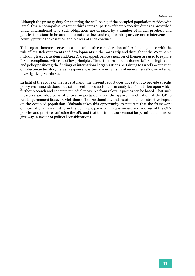Although the primary duty for ensuring the well-being of the occupied population resides with Israel, this in no way absolves other third States or parties of their respective duties as prescribed under international law. Such obligations are engaged by a number of Israeli practices and policies that stand in breach of international law, and require third party actors to intervene and actively pursue the cessation and redress of such conduct.

This report therefore serves as a non-exhaustive consideration of Israeli compliance with the rule of law. Relevant events and developments in the Gaza Strip and throughout the West Bank, including East Jerusalem and Area C, are mapped, before a number of themes are used to explore Israeli compliance with rule of law principles. These themes include: domestic Israeli legislation and policy positions; the findings of international organisations pertaining to Israel's occupation of Palestinian territory; Israeli response to external mechanisms of review; Israel's own internal investigative procedures.

In light of the scope of the issue at hand, the present report does not set out to provide specific policy recommendations, but rather seeks to establish a firm analytical foundation upon which further research and concrete remedial measures from relevant parties can be based. That such measures are adopted is of critical importance, given the apparent motivation of the OP to render permanent its severe violations of international law and the attendant, destructive impact on the occupied population. Diakonia takes this opportunity to reiterate that the framework of international law must form the dominant paradigm in any review and address of the OP's policies and practices affecting the oPt, and that this framework cannot be permitted to bend or give way in favour of political considerations.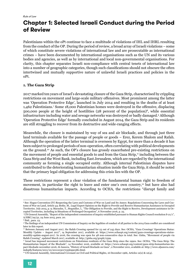## **Chapter 1: Selected Israeli Conduct during the Period of Review**

Palestinians within the oPt continue to face a multitude of violations of IHL and IHRL resulting from the conduct of the OP. During the period of review, a broad array of Israeli violations – some of which constitute severe violations of international law and are prosecutable as international crimes – have been documented by international organisations such as the UN and its various bodies and agencies, as well as by international and local non-governmental organisations. For clarity, this chapter separates Israeli non-compliance with central tenets of international law into a number of geographic categories, though such classifications should not obscure the often intertwined and mutually supportive nature of unlawful Israeli practices and policies in the oPt.

#### **1. The Gaza Strip**

2017 marked ten years of Israel's devastating closure of the Gaza Strip, characterised by crippling restrictions on movement and large-scale military offensives. Most prominent among the latter was 'Operation Protective Edge', launched in July 2014 and resulting in the deaths of at least 1,462 Palestinians.7 Some 18,000 Palestinian homes were destroyed in the offensive, displacing 500,000 people at the height of hostilities ( $28$  percent of the population)<sup>8</sup>, while essential infrastructure including water and sewage networks was destroyed or badly damaged.9 Although 'Operation Protective Edge' formally concluded in August 2014, the Gaza Strip and its residents are still struggling to recover from its destructive and wide-ranging effects.

Meanwhile, the closure is maintained by way of sea and air blockade, and through just three land terminals available for the passage of people or goods – Erez, Kerem Shalom and Rafah. Although the operation of the latter terminal is overseen by Egypt, for more than a decade it has been subject to prolonged periods of non-operation, often correlating with political developments on the ground.10 As such, the OP's closure has grossly exacerbated pre-existing restrictions on the movement of people and essential goods to and from the Gaza Strip, $\mu$  including between the Gaza Strip and the West Bank, including East Jerusalem, which are regarded by the international community as forming a single occupied entity. Although internal Palestinian disputes have contributed to the deteriorating humanitarian situation inside the Gaza Strip, it should be noted that the primary legal obligation for addressing this crisis lies with the OP.

These restrictions represent a clear violation of the fundamental human right to freedom of movement, in particular the right to leave and enter one's own country,<sup>12</sup> but have also had disastrous humanitarian impacts. According to OCHA, the restrictions "disrupt family and

<sup>6</sup> See: Hague Convention (IV) Respecting the Laws and Customs of War on Land and Its Annex: Regulations Concerning the Laws and Customs of War on Land, Article 43; Bothe, M., Legal Expert Opinion on the Right to Provide and Receive Humanitarian Assistance in Occupied Territories. July 2015, p. 9; Marauhn, T., Stegmiller, I,. "The Obligation to Provide, and the Right to Receive, Development assistance in Occupied Territories, including in Situations of Prolonged Occupation", 6 November 2016, p. 25.

<sup>7</sup> UN General Assembly, "Report of the independent commission of inquiry established pursuant to Human Rights Council resolution S-21/1", A/HRC/29/52, 24 June 2015, para. 20.

<sup>8</sup> Ibid., para. 23.

<sup>9</sup> The findings of an independent UN Commission of Inquiry on the legalities of conduct of all parties to the 2014 Gaza conflict are considered later in this report.

<sup>10</sup> Between January and August 2017, the Rafah Crossing opened for 23 out of 243 days. See: OCHA, "Gaza Crossings' Operations Status: Monthly Update – August 2017", 14 September 2017, available at: https://www.ochaopt.org/content/gaza-crossings-operations-statusmonthly-update-august-2017. In 2016, the crossing was open for 48 non-consecutive days in total. See: Gisha, "Movement of people via Rafah Crossing", updated March 2017, available at: http://gisha.org/graph/2399.

<sup>11</sup> Israel has imposed movement restrictions on Palestinian residents of the Gaza Strip since the 1990s. See: OCHA, "The Gaza Strip: The Humanitarian Impact of the Blockade", 14 November 2016, available at: https://www.ochaopt.org/content/gaza-strip-humanitarian-impact-blockade-november-2016; Al Jazeera, "History of Israeli blockade on Gaza", 2 November 2011, available at: http://www.aljazeera.com/ indepth/features/2011/10/20111030172356990380.html.

<sup>12</sup> UN General Assembly, International Covenant on Civil and Political Rights, 16 December 1966, Articles 12(2) & 12(4).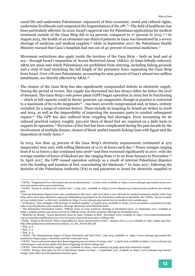social life and undermine Palestinians' enjoyment of their economic, social and cultural rights, undermine livelihoods and compound the fragmentation of the oPt."<sup>13</sup> The field of healthcare has been particularly affected. In 2016, Israel's approval rate for Palestinian applications for medical treatment outside of the Gaza Strip fell to 64 percent, compared to 77 percent in 2015.<sup>14 15</sup> In August 2015, the health of an estimated one-third of patients in Gaza was threatened by a severe shortage of medicine and medical supplies,16 while in September 2017, the Palestinian Health Ministry warned that Gaza's hospitals had run out of 40 percent of essential medicines.<sup>17</sup>

Movement restrictions also apply inside the territory of the Gaza Strip – both on land and at sea – through Israel's imposition of 'Access Restricted Areas' (ARAs). At times lethally enforced, ARAs are areas into which Palestinians are prohibited from entering, including fishing grounds and a strip of land stretching the full length of the perimeter fence separating the Gaza Strip from Israel. Over 178,000 Palestinians, accounting for nine percent of Gaza's almost two million inhabitants, are directly affected by ARAs.18

The closure of the Gaza Strip has also significantly compounded deficits in electricity supply. During the period of review, this supply has fluctuated but has always fallen far below the level of demand. The Gaza Strip's sole power plant (GPP) began operation in 2002 but its functioning – which at full capacity could in theory generate 140 megawatts, though in practice is restricted to a maximum of 60 to 80 megawatts<sup>19</sup> – has been severely compromised and, at times, entirely curtailed, by a range of external factors. These include its targeting by Israeli air strikes in 2006 and 2014, as well as the impossibility of importing the necessary parts to conduct subsequent repairs.20 The GPP has also suffered from crippling fuel shortages. Even accounting for its reduced practical output, roughly 350,000 litres of diesel fuel are required on a daily basis to support its operation.<sup>21</sup> Provision of this fuel has been complicated during the past decade by the involvement of multiple donors, closure of black market tunnels linking Gaza with Egypt and the imposition of costly taxes.<sup>22</sup>

In 2015, less than 45 percent of the Gaza Strip's electricity requirements (estimated at 470 megawatts) were met, with rolling blackouts of 12 to 16 hours each day.23 Power outages ranging from 8 to 12 hours a day continued into  $2016^{24}$  and then worsened significantly in 2017, with the average number of hours of blackout per day ranging from 17 to 20 from January to November.<sup>25</sup> In April 2017, the GPP ceased operation entirely as a result of internal Palestinian disputes over the funding and taxation of fuel, exacerbating the blackouts.26 In June 2017, following the decision of the Palestinian Authority (PA) to end payments to Israel for electricity supplied to

<sup>13</sup> OCHA, "Fragmented lives: Movement and Access Restrictions", 13 June 2016, available at: https://www.ochaopt.org/content/2015-overview-movement-and-access-restrictions.

<sup>14</sup> OCHA, "Access to medical care outside Gaza", 4 July 2017, available at: https://www.ochaopt.org/content/access-medical-care-outsidegaza.

<sup>&</sup>lt;sup>15</sup> Internal Palestinian disputes have also contributed to this issue, with more than 2,000 referrals for medical treatment outside of the Gaza Strip said to have been affected by apparent withholding of payments by the Palestinian Authority in Ramallah. See: OCHA, "Access to medical care outside Gaza", 4 July 2017, available at: https://www.ochaopt.org/content/access-medical-care-outside-gaza.

<sup>16</sup> Al-Monitor, "Gaza struggles with shortage of medical supplies", 6 August 2015, available at: https://www.al-monitor.com/pulse/iw/originals/2015/08/palestine-gaza-medicine-shortage-pharmacy-israel-blockade.html.

<sup>17</sup> The Palestinian Information Center, "Official warns of acute medicine shortage in blockaded Gaza", 10 September 2017, available at: https://english.palinfo.com/news/2017/9/10/Official-warns-of-acute-medicine-shortage-in-blockaded-Gaza.

<sup>18</sup> Medicins du Monde, "Access Restricted Areas in Gaza: Civilians at Risk", November 2016, available at: http://www.medecinsdumonde. org/en/actualites/publications/2017/01/16/access-restricted-areas-gaza-civilians-risk.

<sup>19</sup> Gisha, "Hand on the Switch: Who's responsible for Gaza's infrastructure crisis?", January 2017, p. 3-4, available at: http://gisha.org/User-Files/File/publications/infrastructure/Hand\_on\_the\_Switch-EN.pdf.

<sup>20</sup> Ibid., p. 6.

<sup>21</sup> Ibid., p. 4.

<sup>22</sup> Ibid., p. 5.

<sup>23</sup> OCHA, "The Humanitarian Impact of Gaza's Electricity and Fuel Crisis", July 2015, available at: https://www.ochaopt.org/content/humanitarian-impact-gaza-s-electricity-and-fuel-crisis-july-2015.

<sup>24</sup> OCHA, "Gaza's sole power plant shut down triggering up to 20 hours of outage a day", 11 April 2016, available at: https://www.ochaopt.org/ content/gaza-s-sole-power-plant-shut-down-triggering-20-hours-outage-day.

<sup>25</sup> OCHA, "Gaza Strip electricity supply", 2017, available at: https://www.ochaopt.org/page/gaza-strip-electricity-supply.

<sup>26</sup> OCHA, "Energy crisis takes its toll on Palestinian farmers in Gaza", 11 September 2017, available at: https://www.ochaopt.org/content/ energy-crisis-takes-its-toll-palestinian-farmers-gaza.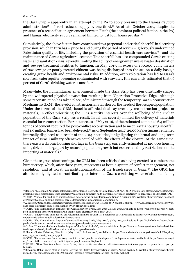the Gaza Strip – apparently in an attempt by the PA to apply pressure to the Hamas *de facto* administration<sup>27</sup> – Israel reduced supply by one third.<sup>28</sup> As of late October 2017, despite the presence of a reconciliation agreement between Fatah (the dominant political faction in the PA) and Hamas, electricity supply remained limited to just four hours per day.<sup>29</sup>

Cumulatively, the above factors have contributed to a perpetual and critical shortfall in electricity provision, which in turn has – prior to and during the period of review – grievously undermined Palestinian quality of life, including the provision of essential health care services<sup>30</sup> and the maintenance of Gaza's agricultural sector.31 This shortfall has also compounded Gaza's existing water and sanitation crisis, severely limiting the ability of energy-intensive seawater desalination and sewage treatment facilities to function. In May 2017, in excess of 100,000 cubic meters of raw sewage or poorly treated effluent was being discharged into the sea on a daily basis,<sup>32</sup> creating grave health and environmental risks. In addition, overexploitation has led to Gaza's sole freshwater aquifer becoming contaminated with seawater. It is currently estimated that 96 percent of Gaza's drinking water is unsafe.33

Meanwhile, the humanitarian environment inside the Gaza Strip has been drastically shaped by the widespread physical devastation resulting from 'Operation Protective Edge'. Although some reconstruction has taken place, administered through the temporary Gaza Reconstruction Mechanism (GRM), the level of construction falls far short of the needs of the occupied population. Under the terms of the GRM, Israel is afforded final say over any reconstruction project or materials, in effect prioritizing the OP's security interests over the wellbeing of the civilian population of the Gaza Strip. As a result, Israel has severely limited the delivery of materials essential for reconstruction. For instance, as of May 2016, of the estimated combined 6.4 million tonnes of cement required for post-conflict reconstruction and to meet Gaza's housing shortfall, just 1.9 million tonnes had been delivered.34 As of September 2017, 29,000 Palestinians remained internally displaced as a result of the 2014 hostilities,35 highlighting the brutal and long-term impact of Israeli military offensives coupled with the effects of the closure. At the same time, there exists a chronic housing shortage in the Gaza Strip currently estimated at 120,000 housing units, driven in large part by natural population growth but exacerbated my restrictions on the importing of materials.36

Given these grave shortcomings, the GRM has been criticised as having created "a cumbersome bureaucracy, which, after three years, represents at best, a system of conflict management, not resolution; and at worst, an institutionalization of the Israeli siege of Gaza."37 The GRM has also been highlighted as contributing to, inter alia, Gaza's escalating water crisis, and "failing

<sup>27</sup> Reuters, "Palestinian Authority halts payments for Israeli electricity to Gaza: Israel", 27 April 2017, available at: https://www.reuters.com/ article/us-israel-palestinians-gaza-electricity/palestinian-authority-halts-payments-for-israeli-electricity-to-gaza-israel-idUSKBN17T151. 28 OCHA, "Appeal for funding to stabilize Gaza's deteriorating humanitarian conditions", 5 August 2017, available at: https://www.ochaopt.

org/content/appeal-funding-stabilize-gaza-s-deteriorating-humanitarian-conditions-0.

<sup>29</sup> Al Jazeera, "Gaza still faces electricity crisis despite reconciliation", 30 October 2017, available at: http://www.aljazeera.com/news/2017/10/ gaza-faces-electricity-crisis-reconciliation-171030163230616.html.

<sup>30</sup> OCHA, "The Humanitarian Impact of the Gaza Electricity Crisis, May 2017", 4 May 2017, available at: https://reliefweb.int/report/occupied-palestinian-territory/humanitarian-impact-gaza-electricity-crisis-may-2017.

<sup>31</sup> OCHA, "Energy crisis takes its toll on Palestinian farmers in Gaza", 11 September 2017, available at: https://www.ochaopt.org/content/ energy-crisis-takes-its-toll-palestinian-farmers-gaza.

<sup>32</sup> OCHA, "The Humanitarian Impact of the Gaza Electricity Crisis, May 2017", 4 May 2017, available at: https://reliefweb.int/report/occupied-palestinian-territory/humanitarian-impact-gaza-electricity-crisis-may-2017.

<sup>33</sup> Oxfam, "Timeline: the humanitarian impact of the Gaza blockade", 2017, available at: https://www.oxfam.org/en/occupied-palestinianterritory-and-israel/timeline-humanitarian-impact-gaza-blockade.

<sup>34</sup> Shelter Cluster Palestine, "Key Facts (May 2016)", 8 June 2016, available at: https://www.sheltercluster.org/sites/default/files/docs/ one\_page\_factsheet\_final\_may.pdf.

<sup>35</sup> OCHA, "Three years on from the 2014 conflict, 29,000 people remain displaced", 11 September 2017, available at: https://www.ochaopt. org/content/three-years-2014-conflict-29000-people-remain-displaced.

<sup>36</sup> UNSCO, "Gaza Ten Years Later Report", July 2017, p. 12, available at: https://unsco.unmissions.org/gaza-ten-years-later-report-july-2017.

<sup>37</sup> Brookings Doha Center, "Still in Ruins: Reviving the Stalled Reconstruction of Gaza", August 2017, p. 6, available at: https://www.brookings.edu/wp-content/uploads/2017/08/paper\_reviving-reconstruction-of-gaza\_english\_web.pdf.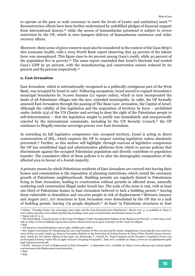to operate at the pace or scale necessary to meet the levels of [water and sanitation] need."38 Reconstruction efforts have been further undermined by unfulfilled pledges of financial support from international donors,<sup>39</sup> while the access of humanitarian personnel is subject to severe restriction by the OP, which in turn hampers delivery of humanitarian assistance and wider recovery efforts.

Moreover, these areas of grave concern must also be considered in the context of the Gaza Strip's dire economic health, with a 2015 World Bank report observing that 43 percent of the labour force was unemployed. This figure rises to 60 percent among Gaza's youth, while 40 percent of the population live in poverty.40 The same report concluded that Israel's blockade had eroded Gaza's GDP by 50 percent, with the manufacturing and construction sectors reduced by 60 percent and 83 percent respectively.41

#### **2. East Jerusalem**

East Jerusalem, which is internationally recognised as a politically contiguous part of the West Bank, was occupied by Israel in 1967. Following occupation, Israel moved to expand Jerusalem's municipal boundaries by 70,000 dunams (27 square miles), which in turn incorporated the lands of 28 Palestinian villages into the new, extended municipality. In 1980, the OP formally annexed East Jerusalem through the passing of The Basic Law: Jerusalem, the Capital of Israel. Although the validity of this legislation and the acquisition of territory by force – prohibited under Article 2(4) of the UN Charter and serving to deny the right of the Palestinian people to self-determination – that the legislation sought to justify was immediately and unequivocally rejected by the international community, including by the UN Security Council,<sup>42</sup> the OP continues to illegally exercise sovereign powers over East Jerusalem.

In extending its full legislative competence into occupied territory, Israel is acting in direct contravention of IHL, which requires the OP to respect existing legislation unless absolutely prevented.43 Further, as this section will highlight, through exercise of legislative competence the OP has established legal and administrative platforms from which to pursue policies that discriminate against the occupied Palestinian population and directly contribute to population transfer. The cumulative effect of these policies is to alter the demographic composition of the affected area in favour of a Jewish majority.

A primary means by which Palestinian residents of East Jerusalem are coerced into leaving their homes and communities is the imposition of planning restrictions, which curtail the necessary growth of Palestinian neighbourhoods. Building permits are regularly denied to Palestinians living in East Jerusalem, leading to construction without permits in affected areas, naturally rendering such construction illegal under Israeli law. The scale of the issue is vast, with at least one third of Palestinian homes in East Jerusalem believed to lack a building permit,44 leaving them vulnerable to demolition and 100,000 people at risk of displacement.45 Between January and August 2017, 107 structures in East Jerusalem were demolished by the OP due to a lack of building permit, leaving 179 people displaced.46 At least 79 Palestinian structures in East

46 Ibid.

<sup>38</sup> Oxfam, "Treading Water: the worsening water crisis and the Gaza Reconstruction Mechanism", March 2017, p. 3, available at: https:// www.oxfam.org/sites/www.oxfam.org/files/bp-treading-water-gaza-reconstruction-mechanism-220317-en.pdf.

<sup>39</sup> Supra note 37, p. 3.

<sup>40</sup> The World Bank, "Gaza Economy on the Verge of Collapse, Youth Unemployment Highest in the Region at 60 Percent", 21 May 2015, available at: http://www.worldbank.org/en/news/press-release/2015/05/21/gaza-economy-on-the-verge-of-collapse.

<sup>41</sup> Ibid.

<sup>42</sup> UN Security Council Resolution 478 of 1980, S/RES/478, (1980).

<sup>43</sup> See: Hague Convention (IV) Respecting the Laws and Customs of War on Land and Its Annex: Regulations Concerning the Laws and Customs of War on Land, Article 43; Geneva Convention Relative to the Protection of Civilian Persons in Time of War (Fourth Geneva Convention), Article 64. For further address of this topic, see: Boutruche, T., Sassoli, M. "Expert Opinion on the Occupier's Legislative Power over an Occupied Territory Under IHL in Light of Israel's On-going Occupation", June 2017, available at: https://www.nrc.no/globalassets/pdf/ legal-opinions/sassoli.pdf.

<sup>44</sup> OCHA, "Increase in risk of displacement in East Jerusalem", 11 September 2017, available at: https://www.ochaopt.org/content/significant-increase-risk-displacement-east-jerusalem.

 $45$  Ibid.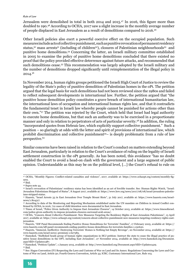Jerusalem were demolished in total in both 2014 and 2015.47 In 2016, this figure more than doubled to 190.48 According to OCHA, 2017 saw a slight increase in the monthly average number of people displaced in East Jerusalem as a result of demolitions compared to 2016.49

Other Israeli policies also exert a powerful coercive effect on the occupied population. Such measures include acts of collective punishment, such as punitive revocation of permanent residency status,<sup>50</sup> mass arrests<sup>51</sup> (including of children<sup>52</sup>), closures of Palestinian neighbourhoods<sup>53</sup> and punitive home demolitions.54 Concerning the latter, an Israeli military committee established in 2005 to examine the policy of punitive home demolitions concluded that there existed no proof that the policy provided effective deterrence against future attacks, and recommended that such demolitions cease.55 This recommendation was largely adopted by the Israeli military and the number of demolitions dropped significantly until reimplementation of the illegal policy in 2014.56

In November 2014, human rights groups petitioned the Israeli High Court of Justice to review the legality of the State's policy of punitive demolition of Palestinian homes in the oPt. The petition argued that the legal basis for such demolitions had not been reviewed since the 1980s and failed to reflect subsequent developments in international law. Further, the petition argued that "the punitive house demolition policy constitutes a grave breach of international humanitarian law, the international laws of occupation and international human rights law, and that it contradicts the fundamental tenet in Israeli law whereby people cannot be punished for actions other than their own."57 The petition was rejected by the Court, which held that Israel had legal authority to execute home demolitions, but that such an authority was to be exercised in a proportionate manner and only in relation to perpetrators of acts of particular severity.58 In addition, the ruling "incorporated quotes from Hebraic law, which explicitly support collective punishment." Such a position – so glaringly at odds with the letter and spirit of provisions of international law, which prohibit discrimination and collective punishment<sup>59</sup>– is deeply problematic from a rule of law perspective.<sup>60</sup>

Similar concerns have been raised in relation to the Court's conduct on matters extending beyond East Jerusalem, particularly in relation to the Court's avoidance of ruling on the legality of Israeli settlement construction in the oPt generally. As has been noted, this avoidance "has no doubt enabled the Court to avoid a head-on clash with the government and a large segment of public opinion. Understandable as this may be on the political level, […] the Court's refusal to rule on

<sup>47</sup> OCHA, "Monthly Figures: Conflict-related casualties and violence", 2017, available at: https://www.ochaopt.org/content/monthly-figures.

<sup>48</sup> Ibid.

<sup>49</sup> Supra note 44.

<sup>50</sup> Israel's revocation of Palestinians' residency status has been identified as an act of forcible transfer. See: Human Rights Watch, "Israel: Jerusalem Palestinians Stripped of Status", 8 August 2017, available at: https://www.hrw.org/news/2017/08/08/israel-jerusalem-palestinians-stripped-status.

<sup>51</sup> Haaretz, "Israel Arrests 33 in East Jerusalem Over Temple Mount Riots", 31 July 2017, available at: https://www.haaretz.com/israelnews/1.804317.

<sup>52</sup> According to data of the Monitoring and Reporting Mechanism established under the UN mandate on Children in Armed Conflict confirmed by OCHA, in 2016, 712 cases of child detention were documented in East Jerusalem.

<sup>53</sup> Times of Israel, "Police Given Authority to Impose East Jerusalem Closures", 14 October 2015, available at: https://www.timesofisrael. com/police-given-authority-to-impose-jerusalem-closures-surround-arab-areas/.

<sup>54</sup> OCHA, "Concern About Collective Punishment: New Measures Targeting the Residency Rights of East Jerusalem Palestinians", 13 April 2017, available at: https://www.ochaopt.org/content/concern-about-collective-punishment-new-measures-targeting-residency-rights-eastjerusalem.

<sup>55</sup> Haaretz, "IDF Panel Recommends Ending Punitive House Demolitions for Terrorists' Families", 17 February 2005, available at: https:// www.haaretz.com/idf-panel-recommends-ending-punitive-house-demolitions-for-terrorists-families-1.150620.

<sup>56</sup> Haaretz, "Immoral, Ineffective: Destroying Terrorists' Homes is Nothing but Empty Revenge", 20 November 2014, available at: https:// www.haaretz.com/israel-news/.premium-1.627383.

<sup>57</sup> Hamoked, "HaMoked heads group of human rights organizations in HCJ petition: Instruct the state to cease the illegal practice of punitive house demolitions in the OPT, including East Jerusalem", 27 November 2014, available at: http://www.hamoked.org/Document. aspx?dID=Updates1387.

<sup>58</sup> Hamoked, "Petition Update", 1 January 2015, available at: http://www.hamoked.org/Document.aspx?dID=Updates1429. 59 Ibid.

<sup>60</sup> See: Hague Convention (IV) Respecting the Laws and Customs of War on Land and Its Annex: Regulations Concerning the Laws and Customs of War on Land, Article 50; Fourth Geneva Convention, Article 33; ICRC, Customary International Law, Rule 103.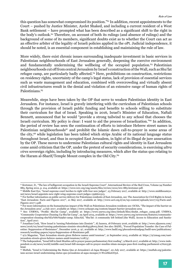this question has somewhat compromised its position."61 In addition, recent appointments to the Court – pushed by Justice Minister, Ayelet Shaked, and including a current resident of a West Bank settlement – have prompted what has been described as a significant shift to the right in the body's outlook.62 Therefore, on account of both its rulings (and absence of rulings) and the background of some of its members, significant doubts exist as to whether the Court can act as an effective arbiter of the legality of Israeli policies applied in the oPt. Judicial independence, it should be noted, is an essential component in establishing and maintaining the rule of law.

More widely, there exist chronic issues surrounding inadequate investment in basic services in Palestinian neighbourhoods of East Jerusalem generally, deepening the coercive environment and fundamentally undermining the wellbeing of the occupied population.<sup>63</sup> Palestinian neighbourhoods cut off from central Jerusalem by Israel's construction of the Wall, such as Shu'fat refugee camp, are particularly badly affected.64 Here, prohibitions on construction, restrictions on residency rights, uncertainty of the camp's legal status, lack of provision of essential services such as waste management and education, combined with overcrowding and virtually absent civil infrastructures result in the denial and violation of an extensive range of human rights of Palestinians.<sup>65</sup>

Meanwhile, steps have been taken by the OP that serve to weaken Palestinian identity in East Jerusalem. For instance, Israel is gravely interfering with the curriculum of Palestinian schools through the provision of Israeli public funding and benefits to schools willing to substitute their curriculum for that of Israel. Speaking in 2016, Israel's Minister of Education, Naftali Bennett, announced that he would "provide a strong tailwind to any school that chooses the Israeli curriculum. My policy is clear: I want to aid the process of Israelization."66 In addition, the period of review has seen the continuation of efforts to introduce Hebrew street names in Palestinian neighbourhoods<sup>67</sup> and prohibit the Islamic dawn call-to-prayer in some areas of the city,<sup>68</sup> while legislation has been tabled which strips Arabic of its national language status throughout Israel, and thus in occupied East Jerusalem, in light of its illegal de jure annexation by the OP. These moves to undermine Palestinian cultural rights and identity in East Jerusalem come amid criticism that the OP, under the pretext of security considerations, is exercising *ultra vires* sovereign rights, including by introducing measures, which alter the status quo relating to the Haram al-Sharif/Temple Mount complex in the Old City.<sup>69</sup>

<sup>&</sup>lt;sup>61</sup> Kretzmer, D., "The law of belligerent occupation in the Israeli Supreme Court", International Review of the Red Cross, Volume 94 Number 885, Spring 2012, p. 214, available at: https://www.icrc.org/eng/assets/files/review/2012/irrc-885-kretzmer.pdf.

<sup>62</sup> Middle East Eye, "Israel supreme court lurches to right with four new judges", 23 February 2017, available at: http://www.middleeasteye. net/news/israel-appoints-new-right-wing-supreme-court-judges-1396601313.

<sup>63</sup> For further information on public service delivery for Palestinian residents of East Jerusalem, see: The Association for Civil Rights in Israel, "East Jerusalem: Facts and Figures 2017", 21 May 2017, available at: http://www.acri.org.il/en/wp-content/uploads/2017/05/Facts-and-Figures-2017-1.pdf.

<sup>&</sup>lt;sup>64</sup> For more information on the humanitarian impact of the Wall on Palestinian Jerusalem residents see: OCHA, "The impact of the barrier on the Jerusalem area", 4 July 2017, available at: https://www.ochaopt.org/content/impact-barrier-jerusalem-area.

<sup>65</sup> See: UNRWA, "Profile: Shu'fat Camp", available at: https://www.unrwa.org/sites/default/files/shufat\_refugee\_camp.pdf; UNRWA, "Community Cooperation Cleaning Up Shu'fat Camp", 29 April 2015, available at: https://www.unrwa.org/newsroom/features/communitycooperation-cleaning-shu%E2%80%99fat-camp; EducAid, "Shu'fat: A community left behind [the Wall]. Access to Education and Sanitation", April 2017.

<sup>66</sup> Jonathan Cook, "How Israel is 'turning Palestinians into Zionists'", Al Jazeera, 18 February 2016, available at: http://www.aljazeera.com/ news/2016/02/israel-turning-palestinians-zionists-160218084338003.html. See also: BADIL, "Forced Population Transfer: the Case of Palestine: Suppression of Resistance", December 2016, p. 97, available at: http://www.badil.org/phocadownloadpap/badil-new/publications/ research/working-papers/wp19-Suppression-of-Resistance.pdf.

<sup>67 972</sup> Magazine, "East Jerusalem streets given Hebrew names amid tensions", 21 September 2015, available at: https://972mag.com/eastjerusalem-streets-given-hebrew-names-amid-tensions/111873/.

<sup>68</sup> The Independent, "Israel bill to limit Muslim call to prayer passes parliamentary first reading", 9 March 2017, available at: http://www.independent.co.uk/news/world/middle-east/israel-bill-mosque-call-to-prayer-muslim-islam-mosque-pass-first-reading-parliament-a7620336. html.

<sup>69</sup> Muftah, "Israel is Undermining the Status Quo at Jerusalem's al-Aqsa Mosque", 20 July 2017, available at: https://muftah.org/palestinians-accuse-israel-undermining-status-quo-jerusalems-al-aqsa-mosque/#.WcoZtkuGO3A.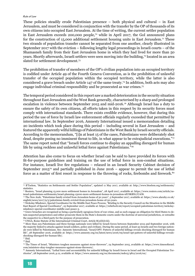These policies steadily erode Palestinian presence – both physical and cultural – in East Jerusalem, and must be considered in conjunction with the transfer by the OP of thousands of its own citizens into occupied East Jerusalem. At the time of writing, the current settler population in East Jerusalem exceeds 200,000 people,70 while in April 2017, the GoI announced plans for the construction of 15,000 additional settlement housing units in East Jerusalem.<sup>71</sup> These two strands of population transfer cannot be separated from one another, clearly illustrated in September 2017 with the eviction – following lengthy legal proceedings in Israeli courts – of the Shamasneh family from their East Jerusalem home in which they had lived for more than 50 years. Shortly afterwards, Israeli settlers were seen moving into the building,72 located in an area slated for settlement development.73

The prohibition of transfer of members of the OP's civilian population into an occupied territory is codified under Article 49 of the Fourth Geneva Convention, as is the prohibition of unlawful transfer of the occupied population within the occupied territory, while the latter is also considered a grave breach under Article 147 of the same treaty.74 In addition, both acts may also engage individual criminal responsibility and be prosecuted as war crimes.75

The temporal period considered in this report saw a marked deterioration in the security situation throughout East Jerusalem and the West Bank generally, characterised by a sharp and prolonged escalation in violence between September 2015 and mid-2016.76 Although Israel has a duty to ensure the safety of its own citizens, all efforts taken in this respect by its security forces must comply with international standards. There exists credible evidence, however, that during this period the use of force by Israeli law enforcement officials regularly exceeded that permitted by international law. In September 2016, Amnesty International issued a memorandum detailing 20 incidents which took place during this period – including several in East Jerusalem – and featured the apparently wilful killings of Palestinians in the West Bank by Israeli security officials. According to the memorandum, "[i]n at least 15 of the cases, Palestinians were deliberately shot dead, despite posing no imminent threat to life, in what appear to be extrajudicial executions."77 The same report noted that "Israeli forces continue to display an appalling disregard for human life by using reckless and unlawful lethal force against Palestinians."78

Attention has also come to focus on whether Israel can be said to have provided its forces with fit-for-purpose guidelines and training on the use of lethal force in non-combat situations. For instance, Israeli live fire regulations – relaxed in an Israeli Security Cabinet decision of September 201579 and partially published in June 2016 – appear to permit the use of lethal force as a matter of first resort in response to the throwing of rocks, firebombs and firework.<sup>80</sup>

<sup>75</sup> UNGA, Rome Statute of the International Criminal Court, Article 8(2)(b)(viii).

 $77$  Ibid.

78 Ibid.

<sup>70</sup> B'Tselem, "Statistics on Settlements and Settler Population", updated 11 May 2017, available at: http://www.btselem.org/settlements/ statistics.

<sup>71</sup> Reuters, "Israel planning 15,000 more settlement homes in Jerusalem", 28 April 2017, available at: https://www.reuters.com/article/usisrael-palestinians-settlements/israel-planning-15000-more-settlement-homes-in-jerusalem-idUSKBN17U1OS.

<sup>72</sup> The New Arab, "Palestinian family evicted from Jerusalem home of 50 years", 5 September 2017, available at: https://www.alaraby.co.uk/ english/news/2017/9/5/palestinian-family-evicted-from-jerusalem-home-of-50-years.

<sup>73</sup> Nickolay Mladenov, Special Coordinator for the Middle East Peace Process, "Briefing to the Security Council on the Situation in the Middle East Report of Special Coordinator", 25 September 2017, available at: https://reliefweb.int/report/occupied-palestinian-territory/nickolaymladenov-special-coordinator-middle-east-peace-3.

<sup>74</sup> Grave breaches are recognised as being a particularly egregious form of war crime, and as such engage an obligation for third States to detain suspected perpetrators and either prosecute them in the State's domestic courts under the doctrine of universal jurisdiction, or extradite the suspect(s) to a third party for the purpose of prosecution.

<sup>76</sup> More than 225 Palestinians and three foreign nationals were killed by Israeli forces between September 2015 and September 2016, with the majority linked to attacks against Israeli soldiers, police and civilians. During the same period, at least 35 Israelis and two foreign nationals were killed by Palestinians. See: Amnesty International, "Israel/OPT: Pattern of unlawful killings reveals shocking disregard for human life", 28 September 2016, available at: https://www.amnesty.org/en/latest/news/2016/09/israel-opt-pattern-of-unlawful-killings-revealsshocking-disregard-for-human-life/.

<sup>79</sup> The Times of Israel, "Ministers toughen measures against stone-throwers", 24 September 2015, available at: https://www.timesofisrael. com/ministers-okay-tougher-measures-against-stone-throwers/.

<sup>80</sup> Amnesty International, "Lethal force and accountability for unlawful killings by Israeli forces in Israel and the Occupied Palestinian Territories", 28 September 2016, p.12, available at: https://www.amnesty.org/en/documents/mde15/4812/2016/en/.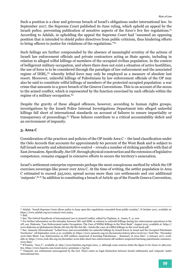Such a position is a clear and grievous breach of Israel's obligations under international law. In September 2017, the Supreme Court published its June ruling, which upheld an appeal by the Israeli police, preventing publication of sensitive aspects of the force's live fire regulations.<sup>81</sup> According to Adalah, in upholding the appeal the Supreme Court had "assumed an opposing position that is intended to shield police directives from public criticism, thus hindering efforts to bring officers to justice for violations of the regulations."<sup>82</sup>

Such failings are further compounded by the absence of meaningful scrutiny of the actions of Israeli law enforcement officials and private contractors acting as State agents, including in relation to alleged wilful killings of members of the occupied civilian population. In the context of belligerent military occupation, and where there does not exist a situation of active hostilities, the use of force is to be considered through the paradigm of law enforcement and the associated regime of IHRL,<sup>83</sup> whereby lethal force may only be employed as a measure of absolute last resort. Moreover, unlawful killings of Palestinians by law enforcement officials of the OP may also be said to constitute wilful killings of members of the protected occupied population: a war crime that amounts to a grave breach of the Geneva Conventions. This is on account of the nexus to the armed conflict, which is represented by the function exercised by such officials within the regime of a military occupation.84

Despite the gravity of these alleged offences, however, according to human rights groups, investigations by the Israeli Police Internal Investigations Department into alleged unlawful killings fall short of international standards on account of failures to ensure impartiality or transparency of proceedings.85 These failures contribute to a critical accountability deficit and an environment of impunity.

#### **3. Area C**

Consideration of the practices and policies of the OP inside Area C – the land classification under the Oslo Accords that accounts for approximately 60 percent of the West Bank and is subject to full Israeli security and administrative control – reveals a number of striking parallels with that of East Jerusalem. Specifically, the OP, through physical construction and the extension of legislative competence, remains engaged in extensive efforts to secure the territory's annexation.

Israel's settlement enterprise represents perhaps the most conspicuous method by which the OP exercises sovereign-like power over Area C. At the time of writing, the settler population in Area C estimated to exceed 325,000, spread across more than 120 settlements and 100 additional 'outposts'.86 87 In addition to constituting a breach of Article 49 of the Fourth Geneva Convention,

<sup>81</sup> Adalah, "Israeli Supreme Court allows police to keep open-fire regulations concealed from public scrutiny", 8 October 2017, available at: https://www.adalah.org/en/content/view/9264.

 $82$  Ibid.

<sup>83</sup> See: The Oxford Handbook of International Law in Armed Conflict, edited by Clapham, A., Gaeta, P., p. 200.

<sup>84</sup> For further information on the interplay between IHL and IHRL in relation to unlawful killings during law enforcement operations in the oPt, see: Diakonia, "Law Enforcement under Occupation: The Case of Willful Killings in the West Bank", August 2015, available at: https:// www.diakonia.se/globalassets/blocks-ihl-site/ihl-file-list/ihl---briefs/the-case-of-willful-killings-in-the-west-bank.pdf

<sup>85</sup> See: Amnesty International, "Lethal force and accountability for unlawful killings by Israeli forces in Israel and the Occupied Palestinian Territories", 28 September 2016, p.10, available at: https://www.amnesty.org/en/documents/mde15/4812/2016/en/; Yesh Din, "December 2016 Data Sheet: Law Enforcement on IDF soldiers suspected of harming Palestinians – Summary of 2015 data", 2 January 2017, available at: https://www.yesh-din.org/en/december-2016-data-sheet-law-enforcement-idf-soldiers-suspected-harming-palestinians-summary-2015-data/

<sup>86</sup> B'Tselem, "Area C", available at: http://www.btselem.org/topic/area\_c; although some sources claim the figure to be closer to 380,000. See, https://www.haaretz.com/israel-news/.premium-1.794730

<sup>87 &#</sup>x27;Outposts' are settlements unrecognised by the GoI. There exists no legal distinction between Israeli settlements and 'outposts' under international law.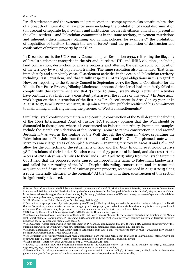Israeli settlements and the systems and practices that accompany them also constitute breaches of a breadth of international law provisions including the prohibition of racial discrimination (on account of separate legal systems and institutions for Israeli citizens unlawfully present in the oPt – settlers – and Palestinian communities in the same territory, movement restrictions and inherently discriminatory planning and zoning policies, for example);<sup>88</sup> the prohibition of acquisition of territory through the use of force;<sup>89</sup> and the prohibition of destruction and confiscation of private property by an OP.<sup>90</sup>

In December 2016, the UN Security Council adopted Resolution 2334, reiterating the illegality of Israel's settlement enterprise in the oPt and its related IHL and IHRL violations, including land confiscation, destruction of private property and altering the demographic composition of the territory by way of population transfer. The same resolution also demanded "that Israel immediately and completely cease all settlement activities in the occupied Palestinian territory, including East Jerusalem, and that it fully respect all of its legal obligations in this regard".91 However, reporting to the Security Council in September 2017, the Special Coordinator for the Middle East Peace Process, Nikolay Mladenov, announced that Israel had manifestly failed to comply with this requirement and that "[s]ince 20 June, Israel's illegal settlement activities have continued at a high rate, a consistent pattern over the course of this year."92 In June 2017, work began on the construction of the first new Israeli settlement in Area C in 25 years.<sup>93</sup> In August 2017, Israeli Prime Minister, Benjamin Netanyahu, publicly reaffirmed his commitment to maintaining and strengthening the presence of West Bank settlements.94

Similarly, Israel continues to maintain and continue construction of the Wall despite the finding of the 2004 International Court of Justice (ICJ) advisory opinion that the Wall should be dismantled in those places where it is constructed on Palestinian territory. Prominent examples include the March 2016 decision of the Security Cabinet to renew construction in and around Jerusalem,95 as well as the routing of the Wall through the Cremisan Valley, separating the Palestinian town of Beit Jala from the settlements of Gilo and Har Gilo. The planned route would serve to annex large areas of occupied territory – spanning territory in Areas B and  $C<sup>96</sup>$  – and allow for the connecting of the settlements of Gilo and Har Gilo. In doing so it would deprive 58 Palestinians of their land, a Salesian convent of 75 percent of its land, and also restrict the access of 400 Palestinian families to their lands.97 An April 2015 ruling from the Israeli Supreme Court held that the proposed route caused disproportionate harm to Palestinian landowners, and called for a rerouting of the Wall. Despite this ruling, construction, and its associated acquisition and destruction of Palestinian private property, recommenced in August 2015 along a route materially identical to the original.<sup>98</sup> At the time of writing, construction of this section is significantly advanced.

91 UN Security Council Resolution 2334 of 2016, S/RES/2334, 23 December 2016, para. 2.

96 See: B'Tselem, "Interactive Map", available at: http://www.btselem.org/map.

<sup>88</sup> For further information on the link between Israeli settlements and racial discrimination, see: Diakonia, "Same Game, Different Rules: Practices and Policies of Racial Discrimination by the Occupying Power in the Occupied Palestinian Territories", May 2016, available at: https://www.diakonia.se/globalassets/documents/ihl/ihl-in-opt/briefs/same-game-different-rules-practices-and-policies-of-racial-descrimination-by-the-occupaying-power-in-the-opt.pdf .

<sup>89</sup> U.N, "Charter of the United Nations", 24 October 1945, Article 2(4).

<sup>90</sup> Destruction or appropriation of private property by an OP, not justified by military necessity, is prohibited under Article 54 of the Fourth Geneva Convention, while extensive destruction or appropriation of property carried out unlawfully and wantonly is listed as a grave breach of the same Convention and may be prosecuted as a war crime under Article 8(2)(a)(iv) of the Rome Statute.

<sup>92</sup> Nickolay Mladenov, Special Coordinator for the Middle East Peace Process, "Briefing to the Security Council on the Situation in the Middle East Report of Special Coordinator", 25 September 2017, available at: https://reliefweb.int/report/occupied-palestinian-territory/nickolaymladenov-special-coordinator-middle-east-peace-3.

<sup>93</sup> The Guardian, "Israel begins work on first settlement in 25 years as Jared Kushner flies in", 20 June 2017, available at: https://www.theguardian.com/world/2017/jun/20/israel-new-settlement-benjamin-netanyahu-jared-kushner-amichai-amona.

<sup>94</sup> Haaretz, "Netanyahu Vows to Never Remove Israeli Settlements from West Bank: 'We're Here to Stay, Forever'", 29 August 2017, available at: http://www.haaretz.com/israel-news/1.809444.

<sup>95</sup> The Jerusalem Post, "Security Cabinet Approves Completion of Barrier around Jerusalem", 10 Match 2016, available at: http://www.jpost. com/Arab-Israeli-Conflict/Security-cabinet-approves-completion-of-barrier-around-Jerusalem-447571

<sup>97</sup> EAPPI, "A Timeline: How the Separation Barrier came to the Cremisan Valley", 26 April 2016, available at: https://blog.eappi. org/2016/04/26/a-timeline-how-the-separation-barrier-came-to-the-cremisan-valley/.

<sup>&</sup>lt;sup>98</sup> The Guardian, "Israel resumes work on controversial separation wall in Cremisan valley", 18 August 2015, available at: https://www.theguardian.com/world/2015/aug/18/israel-resumes-work-controversial-separation-wall-cremisan-valley.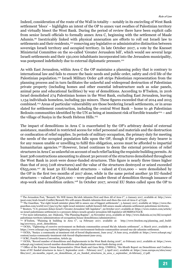Indeed, consideration of the route of the Wall in totality – notably in its encircling of West Bank settlement 'blocs' – highlights an intent of the OP to annex vast swathes of Palestinian territory and virtually bisect the West Bank. During the period of review there have been explicit calls from senior Israeli officials to formally annex Area C, beginning with the settlement of Maale Adumin.99 Inextricably linked with physical annexation are efforts to roll out Israeli law to settlements and their residents,100 removing any legislative or administrative distinction between sovereign Israeli territory and occupied territory. In late October 2017, a vote by the Knesset Ministerial Committee on the so-called 'Greater Jerusalem bill', which would see several large Israeli settlements and their 150,000 inhabitants incorporated into the Jerusalem municipality, was postponed indefinitely due to external diplomatic pressure.<sup>101</sup>

As with East Jerusalem, within Area C the OP maintains a planning policy that is contrary to international law and fails to ensure the basic needs and public order, safety and civil life of the Palestinian population.<sup>102</sup> Israeli Military Order 418 strips Palestinian representation from the planning process and in turn facilitates the unlawful and widespread destruction of Palestinian private property (including homes and other essential infrastructure such as solar panels, animal pens and educational facilities) by way of demolitions. According to B'Tselem, in 2016 Israel demolished 274 Palestinian homes in the West Bank, excluding East Jerusalem, leaving 1,134 individuals homeless, including 591 minors. These figures exceeded that of 2014 and 2015 combined.103 Areas of particular vulnerability are those bordering Israeli settlements, or in areas slated for settlement construction, including the central West Bank – home to 46 Palestinian Bedouin communities identified by the UN as being at imminent risk of forcible transfer<sup>104</sup> – and the village of Susiya in the South Hebron Hills.105

The impact of demolitions in Area C is exacerbated by the OP's arbitrary denial of external assistance, manifested in restricted access for relief personnel and materials and the destruction or confiscation of relief supplies. In periods of military occupation, the primary duty for meeting the needs of the occupied population falls upon the OP, though if the primary duty bearer is for any reason unable or unwilling to fulfil this obligation, access must be afforded to impartial humanitarian agencies.<sup>106</sup> However, Israel continues to deem the external provision of relief structures in Area C as unlawful on account of such relief lacking the requisite building permits. At least 308 constructions amounting to almost 30 percent of the structures demolished throughout the West Bank in 2016 were donor-funded structures. This figure is nearly three times higher than that of 2015 (108 structures) and the value of the structures destroyed or seized exceeded €655,000.<sup>107</sup> At least 50 EU-funded structures – valued at €110,000 – were demolished by the OP in the first two months of 2017 alone, while in the same period another 50 EU-funded structures – valued at  $\epsilon_{500,000}$  – were placed under threat of demolition through issuance of stop-work and demolition orders.<sup>108</sup> In October 2017, several EU States called upon the OP to

<sup>99</sup> The Jerusalem Post, "Bennett: We Will Annex Ma'aleh Adumim First and then All of Area C", 2 January 2017, available at: http://www. jpost.com/Arab-Israeli-Conflict/Bennett-We-will-annex-Maaleh-Adumim-first-and-then-the-rest-of-Area-C-477236.

<sup>100</sup> The Guardian, "Far-right Israeli minister plans bill to annex one of biggest settlements", 3 January 2017, available at: https://www.theguardian.com/world/2017/jan/03/far-right-israel-minister-naftali-bennett-bill-annex-maale-adumim-settlement-palestinian-territories. 101 Reuters, "U.S. pressure delays Israel's 'Greater Jerusalem' bill: legislator", 29 October 2017, available at: https://www.reuters.com/article/ us-israel-palestinians-settlement/u-s-pressure-delays-israels-greater-jerusalem-bill-legislator-idUSKBN1CY0CB.

<sup>102</sup> For more information, see: Diakonia, "The Planning Regime", 19 November 2013, available at: http://www.diakonia.se/en/ihl/occupiedpalestinian-territory/administration-of-occupation/house-demolitions1/administrative/.

<sup>&</sup>lt;sup>23</sup> B'Tselem, "Planning & building in Area C", 14 February 2017, available at: http://www.btselem.org/planning\_and\_build $ing/20170213$  2016 demolitions.

<sup>104</sup> OCHA, "Tightening of coercive environment on Bedouin communities around Ma'ale Adumin settlement", 11 March 2017, available at: https://www.ochaopt.org/content/tightening-coercive-environment-bedouin-communities-around-ma-ale-adumim-settlement.

<sup>105</sup> OCHA, "Susiya: a community at imminent risk of forced displacement, June 2015", 8 June 2015, available at: https://www.ochaopt.org/ content/susiya-community-imminent-risk-forced-displacement-june-2015.

<sup>107</sup> OCHA, "Record number of demolitions and displacements in the West Bank during 2016", 10 February 2017, available at: https://www. ochaopt.org/content/record-number-demolitions-and-displacements-west-bank-during-2016.

<sup>108</sup> Office of the European Union Representative (West Bank and Gaza Strip, UNRWA), "Six-Month Report on Demolitions and Confiscations of EU funded structures in Area C, September 2016 – February 2017", 5 April 2017, available at: https://eeas.europa.eu/sites/eeas/ files/2017\_six-months\_report\_on\_demolitions\_of\_eu\_funded\_structures\_in\_area\_c\_september\_16-february\_17.pdf.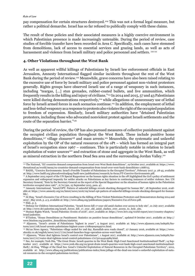pay compensation for certain structures destroyed.109 This was not a formal legal measure, but rather a political demarche. Israel has so far refused to publically comply with these claims.

The result of these policies and their associated measures is a highly coercive environment in which Palestinian presence is made increasingly untenable. During the period of review, case studies of forcible transfer have been recorded in Area C. Specifically, such cases have stemmed from demolitions, lack of access to essential services and grazing lands, as well as acts of harassment and violence from Israeli military and police personnel and settlers. 110 111

#### **4. Other Violations throughout the West Bank**

As well as apparent willful killings of Palestinians by Israeli law enforcement officials in East Jerusalem, Amnesty International flagged similar incidents throughout the rest of the West Bank during the period of review.112 Meanwhile, grave concerns have also been raised relating to the excessive use of force by Israeli military and police personnel against non-violent protestors generally. Rights groups have observed Israeli use of a range of weaponry in such instances, including "teargas, [...] stun grenades, rubber-coated bullets, and live ammunition, which frequently results in the killing and injury of civilians."113 In 2014 and 2015, 57 and 43 Palestinians were killed during demonstrations respectively,<sup>114</sup> while allegations of unnecessary use of lethal force by Israeli armed forces in such scenarios continue.115 In addition, the employment of lethal and less-lethal weaponry as a response to protests also violates the right of the occupied population to freedom of expression. Similarly, Israeli military authorities have "detained Palestinian protesters, including those who advocated nonviolent protest against Israeli settlements and the route of the separation barrier."116

During the period of review, the OP has also pursued measures of collective punishment against the occupied civilian population throughout the West Bank. These include punitive home demolitions,<sup>117</sup> village closures<sup>118</sup> and mass arrests.<sup>119</sup> Meanwhile, the systematic and unlawful exploitation by the OP of the natural resources of the oPt – which has formed an integral part of Israel's occupation since 1967 – continues. This is particularly notable in relation to Israeli exploitation of water sources<sup>120</sup> and extraction of stone and aggregate in the West Bank, as well as mineral extraction in the northern Dead Sea area and the surrounding Jordan Valley.121

116 Human Rights Watch, "Israel/Palestine: Events of 2016", 2017, available at: https://www.hrw.org/world-report/2017/country-chapters/ israel/palestine.

118 Aljazeera, "Israel's arrests of Palestinians 'highest in years'", 9 August 2017, available at: http://www.aljazeera.com/indepth/features/2017/08/israel-arrests-palestinians-highest-years-170809090949701.html.

<sup>109</sup> The National, "EU countries demand compensation from Israel over West Bank demolitions", 19 October 2017, available at: https://www. thenational.ae/world/mena/eu-countries-demand-compensation-from-israel-over-west-bank-demolitions-1.668713.

<sup>110</sup> BADIL, "Coercive Environments: Israel's Forcible Transfer of Palestinians in the Occupied Territory", February 2017, p. 28-45, available at: http://www.badil.org/phocadownloadpap/badil-new/publications/research/in-focus/FT-Coercive-Environments.pdf.

<sup>&</sup>lt;sup>111</sup> A September 2015 report of the UN Special Rapporteur on the human rights situation in the oPt highlighted the GoI's policy of settlement expansion and widespread impunity for settler attacks on Palestinians as key factors in continuing instances of settler violence. See: UN Secretary General, "Note by the Secretary General on the report of the Special Rapporteur on the situation of human rights in the Palestinian territories occupied since 1967", A/70/392, 25 September 2015, para. 47.

<sup>112</sup> Amnesty International, "Israel/OPT: Pattern of unlawful killings reveals shocking disregard for human life", 28 September 2016, available at: https://www.amnesty.org/en/latest/news/2016/09/israel-opt-pattern-of-unlawful-killings-reveals-shocking-disregard-for-humanlife/.

<sup>113</sup> Al-Haq, "Israel's Excessive Use of Force resulting in the Killing of Non-Violent Palestinian Protestors and Demonstrators during 2014 and 2015", May 2016, p. 4-5, available at: http://www.alhaq.org/publications/papers/Excessive.Use.of.Force.pdf. 114 Ibid., p. 5.

<sup>115</sup> Defense for Children International Palestine, "Israeli forces kill 17-year-old amid clashes over access to holy site", 21 July 2017, available at: http://www.dci-palestine.org/israeli\_forces\_kill\_17\_year\_old\_amid\_clashes\_over\_access\_to\_holy\_site.

<sup>117</sup> B'Tselem, "House Demolitions as Punishment: Statistics on punitive house demolitions", updated 8 October 2017, available at: http:// www.btselem.org/punitive\_demolitions/statistics.

<sup>119</sup> Ma'an News Agency, "Palestinian village sealed for 2nd day, Ramallah-area roads closed", 27 January 2016, available at: https://www. alaraby.co.uk/english/news/2017/7/20/israel-launches-huge-operation-across-west-bank.

<sup>120</sup> Aljazeera, "Water deal tightens Israel's control over Palestinians", 1 August 2017, available at: http://www.aljazeera.com/indepth/features/2017/07/water-deal-tightens-israel-control-palestinians-170730144424989.html.

<sup>&</sup>lt;sup>121</sup> See, for example: Yesh Din, "The Great Drain: Israeli quarries in the West Bank: High Court Sanctioned Institutionalized Theft", 14 September 2017, available at: https://www.yesh-din.org/en/great-drain-israeli-quarries-west-bank-high-court-sanctioned-institutionalizedtheft/; Al-Haq, "Pillage of the Dead Sea: Israel's Unlawful Exploitation of Natural Resources in the Occupied Palestinian Territory", 2012, available at: http://www.alhaq.org/publications/publications-index/item/pillage-of-the-dead-sea-israel-s-unlawful-exploitation-of-natural-resources-in-the-occupied-palestinian-territory.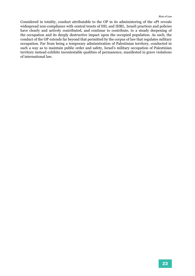Considered in totality, conduct attributable to the OP in its administering of the oPt reveals widespread non-compliance with central tenets of IHL and IHRL. Israeli practices and policies have clearly and actively contributed, and continue to contribute, to a steady deepening of the occupation and its deeply destructive impact upon the occupied population. As such, the conduct of the OP extends far beyond that permitted by the corpus of law that regulates military occupation. Far from being a temporary administration of Palestinian territory, conducted in such a way as to maintain public order and safety, Israel's military occupation of Palestinian territory instead exhibits incontestable qualities of permanence, manifested in grave violations of international law.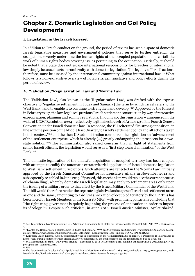## **Chapter 2. Domestic Legislation and GoI Policy Developments**

#### **1. Legislation in the Israeli Knesset**

In addition to Israeli conduct on the ground, the period of review has seen a spate of domestic Israeli legislative measures and governmental policies that serve to further entrench the occupation, severely undermine the human rights of the occupied population, and curtail the work of human rights bodies covering issues pertaining to the occupation. Critically, it should be noted that a State does not escape international responsibility for breaches of international law simply because it acts in conformity with domestic legislation. The legality of Israeli actions, therefore, must be assessed by the international community against international law.122 What follows is a non-exhaustive overview of notable Israeli legislative and policy efforts during the period of review.

#### **A. 'Validation'/'Regularization' Law and 'Norms Law'**

The 'Validation Law', also known as the 'Regularization Law', was drafted with the express objective to "regularize settlement in Judea and Samaria [the term by which Israel refers to the West Bank], and to enable it to continue to strengthen and develop."<sup>123</sup> Approved by the Knesset in February 2017, the law 'legalises' previous Israeli settlement construction by way of retroactive expropriation, planning and zoning regulations. In doing so, this legislation – announced in the wake of UNSC Resolution 2334 – effectively legitimises breach of Article 49 of the Fourth Geneva Convention under Israeli domestic law. In response, the EU reiterated "its strong opposition, in line with the position of the Middle East Quartet, to Israel's settlement policy and all actions taken in this context,"124 and the then U.S administration considered the legislation an "advancement of the settlement enterprise, which is already […] greatly endangering the prospects for a twostate solution."125 The administration also raised concerns that, in light of statements from senior Israeli officials, the legislation would serve as a "first step toward annexation" of the West Bank.126

This domestic legalisation of the unlawful acquisition of occupied territory has been coupled with attempts to codify the automatic extraterritorial application of Israeli domestic legislation to West Bank settlement jurisdictions. Such attempts are reflected in the 'Norms Law', initially approved by the Israeli Ministerial Committee for Legislative Affairs in November 2014 and subsequently re-tabled in June 2015. If passed, this mechanism would replace the current process of 'channelling', whereby domestic Israeli legislation may apply to settlement areas only upon the issuing of a military order to that effect by the Israeli Military Commander of the West Bank. This bill would therefore render the separate legislative landscapes of Israel and settlement areas as one and the same, amounting to a *de jure* annexation of occupied territory by the OP. This has been noted by Israeli Members of the Knesset (MKs), with prominent politicians concluding that "the right-wing government is quietly beginning the process of annexation in order to impose its ideology."127 Despite such criticism, in June 2016, Israeli Justice Minister, Ayelet Shaked,

<sup>122</sup> See: International Law Commission (ILC), Articles on Responsibility of States for Internationally Wrongful Acts (ARSIWA), 2001, Article 3.

<sup>123</sup> "Law for the Regularization of Settlement in Judea and Samaria, 5777-2017", February 2017, (English Translation by Adalah), p. 1, available at: https://www.adalah.org/uploads/uploads/Settlement\_Regularization\_Law\_English\_FINAL\_05032017.pdf.

 $124$  European Union External Action, "Statement by the Spokesperson on the 'Regularization Bill' in Israel", 8 December 2016, available at: https://eeas.europa.eu/topics/water-diplomacy/16735/statement-by-the-spokesperson-on-the-regularisation-bill-in-israel\_en.

<sup>125</sup> U.S. Department of State, "Daily Press Briefing – December 6, 2016", 6 December 2016, available at: https://2009-2017.state.gov/r/pa/ prs/dpb/2016/12/264912.htm.

 $126$  Ibid.

<sup>127</sup> The Jerusalem Post, "Ayelet Shaked: Apply Israeli Law to West Bank within 1 Year", 2 May 2016, available at: http://www.jpost.com/Arab-Israeli-Conflict/Justice-Minister-Shaked-Apply-Israeli-law-to-West-Bank-within-1-year-452847.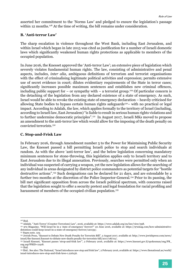asserted her commitment to the 'Norms Law' and pledged to ensure the legislation's passage within 12 months.<sup>128</sup> At the time of writing, the bill remains under consideration.

#### **B. 'Anti-terror Law'**

The sharp escalation in violence throughout the West Bank, including East Jerusalem, and within Israel which began in late 2015 was cited as justification for a number of Israeli domestic laws which significantly weakened human rights protections as applicable to members of the occupied population.

In June 2016, the Knesset approved the 'Anti-terror Law'; an extensive piece of legislation which severely violates fundamental human rights. The law, consisting of administrative and penal aspects, includes, *inter alia*, ambiguous definitions of terrorism and terrorist organisations with the effect of criminalising legitimate political activities and expression; permits extensive use of secret evidence in court; dilutes evidentiary requirements of the State in terror cases; significantly increases possible maximum sentences and establishes new criminal offences, including public support for – or sympathy with – a terrorist group.<sup>129</sup> Of particular concern is the detaching of the legislation from any declared existence of a state of emergency. As such, Israel would be able to revoke the existing state of emergency declaration – heavily criticised for allowing State bodies to bypass certain human rights safeguards<sup>130</sup>– with no practical or legal impact. According to Adalah, the law, which applies formally to the territory of Israel (including, according to Israeli law, East Jerusalem) "is liable to result in serious human rights violations and to further undermine democratic principles".<sup>131</sup> In August 2017, Israeli MKs moved to propose an amendment to the anti-terror law which would allow for the imposing of the death penalty on convicted terrorists.132

#### **C. Stop-and-Frisk Law**

In February 2016, through Amendment number 5 to the Power for Maintaining Public Security Law, the Knesset passed a bill permitting Israeli police to stop and search individuals at random. As with the above 'anti-terror law', and the below legislation concerning mandatory minimum sentences for stone-throwing, this legislation applies only to Israeli territory and to East Jerusalem due to its illegal annexation. Previously, searches were permitted only when an individual was suspected of carrying a weapon, yet the new legislation allows for the searching of any individual in areas designated by district police commanders as potential targets for "hostile destructive actions".133 Such designations can be declared for 21 days, and are extendable by a further two months at the discretion of the Police Inspector-General.134 Prior to its passing, the bill met significant opposition from across the Israeli political spectrum, with concerns raised that the legislation sought to offer a security pretext and legal foundation for racial profiling and harassment of members of the occupied civilian population.<sup>135</sup>

<sup>&</sup>lt;sup>128</sup> Ibid.<br><sup>129</sup> Adalah, "'Anti-Terror' (Counter-Terrorism) Law", 2016, available at: https://www.adalah.org/en/law/view/598.

<sup>130 972</sup> Magazine. "Will Israel be in a 'state of emergency' forever?" 20 June 2016, available at: https://972mag.com/how-administrativedetention-could-keep-israel-in-a-state-of-emergency-forever/120159/.

<sup>131</sup> Supra note. 129.

<sup>132</sup> Jewish Press, "Knesset to Debate New Death Penalty for Terrorists Bill", 2 August 2017, available at: http://www.jewishpress.com/news/ israel/the-knesset/knesset-to-debate-new-death-penalty-for-terrorists-bill/2017/08/02/.

<sup>133</sup> Israeli Knesset, "Knesset passes 'strop-and-frisk law'", 2 February 2016, available at: https://www.knesset.gov.il/spokesman/eng/PR\_ eng.asp?PRID=11918.

<sup>&</sup>lt;sup>134</sup> Ibid.<br><sup>135</sup> Ibid.. See also: The National, "Israel introduces new stop and frisk law", 2 February 2016, available at: https://www.thenational.ae/world/ israel-introduces-new-stop-and-frisk-laws-1.226156.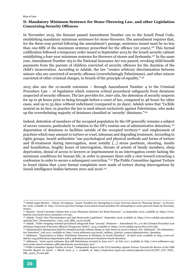#### **D. Mandatory Minimum Sentence for Stone-Throwing Law, and other Legislation Concerning Security Offences**

In November 2015, the Knesset passed Amendment Number 120 to the Israeli Penal Code, establishing mandatory minimum sentences for stone-throwers. The amendment requires that, for the three-year period following the amendment's passage, sentences issued must be no less than one-fifth of the maximum sentence prescribed for the offence (20 years).136 This formal codification followed a temporary order issued in September 2015 by the Israeli security cabinet establishing a four-year minimum sentence for throwers of stones and firebombs.137 In the same year, Amendment Number 163 to the National Insurance Act was passed, revoking child benefit payments from the parents of children convicted of security offences for the duration of the child's incarceration. According to Adalah, the law "creates arbitrary discrimination between minors who are convicted of security offenses (overwhelmingly Palestinians), and other minors convicted of other criminal charges, in breach of the principle of equality."138

2015 also saw the 12-month extension – through Amendment Number 4 to the Criminal Procedure Law – of legislation which removes critical procedural safeguards from detainees suspected of security offences. The law provides for, *inter alia*, the detention of security suspects for up to 96 hours prior to being brought before a court of law, compared to 48 hours for other cases, and up to 35 days without indictment (compared to 30 days). Adalah notes that "[w]hile neutral on its face, in practice the law is used almost exclusively against Palestinians, who make up the overwhelming majority of detainees classified as 'security' detainees."<sup>139</sup>

Indeed, detention of members of the occupied population by the OP generally remains a subject of severe concern, particularly in relation to the OP's routine use of administrative detention,<sup>140</sup> deportation of detainees to facilities outside of the occupied territory<sup>141</sup> and employment of practices which may amount to torture or cruel, inhuman and degrading treatment. According to rights groups, Israeli authorities "use psychological and physical methods and forms of torture and ill-treatment during interrogation, most notably [...] stress positions, shouting, insults and humiliation, lengthy hours of interrogation, threats of arrests of family members, sleep deprivation, denial of access to lawyers or imprisonment in an interrogation center lacking the minimum conditions for human life, in order to pressure them with a view toward extracting a confession in order to secure a subsequent conviction."142 The Public Committee Against Torture in Israel claims that 1,000 formal complaints were made of torture during interrogations by Israeli intelligence bodies between 2001 and 2016.143

<sup>136</sup> Global Legal Monitor - Library of Congress, "Israel: Penalties for Attempting to Cause Grievous Harm by Throwing Stones", 19 November 2016, available at: http://www.loc.gov/law/foreign-news/article/israel-penalties-for-attempting-to-cause-grievous-harm-by-throwingstones/.

<sup>137</sup> Haaretz, "Israel's Security Cabinet Sets 4-year Minimum Sentence for Stone-throwers", 24 September 2015, available at: https://www. haaretz.com/israel-news/.premium-1.677421.

<sup>138</sup> Adalah, "Israel: New Discriminatory and Anti-Democratic Legislation", September 2016, available at: https://www.adalah.org/uploads/ uploads/New\_Discriminatory\_Laws\_and\_Bills\_24.09.16.pdf.

<sup>&</sup>lt;sup>139</sup> Adalah, "Order stripping essential procedural safeguards from "security" detainees – Amendment No. 4 to the Criminal Procedure Law (Detainee Suspected of Security Offence) (Temporary Order)", 2015, available at: https://www.adalah.org/en/law/view/596.

<sup>140</sup> Administrative detaineesare held for extended periods without charge or trial, based on secret evidence. See: Addameer, "On Administrative Detention", July 2017, available at: http://www.addameer.org/israeli\_military\_judicial\_system/administrative\_detention.

<sup>141</sup> Addameer, "Deportation as Policy: Palestinian Prisoners & Detainees in Israeli Detention", 18 April 2016, available at: http://www.addameer.org/publications/deportation-policy-palestinian-prisoners-detainees-israeli-detention.

<sup>142</sup> Addameer, "Joint report estimates that 388 Palestinians arrested in June 2017", 16 July 2017, available at: http://www.addameer.org/ news/joint-report-estimates-388-palestinians-arrested-june-2017.

<sup>143</sup> Public Committee Against Torture in Israel, "Independent Report to the UN Committee Against Torture Towards the Review of the Fifth Periodic Report on Israel", 1 March 2016, p. 7, available at: http://stoptorture.org.il/wp-content/uploads/2016/06/INT\_CAT\_NGO\_ ISR\_23475\_E-Last.pdf.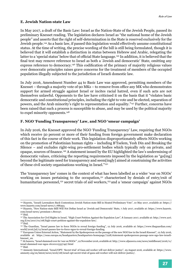#### **E. Jewish Nation-state Law**

In May 2017, a draft of the Basic Law: Israel as the Nation-State of the Jewish People, passed its preliminary Knesset reading. The legislation declares Israel as "the national home of the Jewish people" and asserts that the right of self-determination in the State is reserved exclusively for the Jewish people.144 As a basic law, if passed this legislation would effectively assume constitutional status. At the time of writing, the precise wording of the bill is still being formulated, though it is believed that it will establish a distinction in status between Hebrew and Arabic, relegating the latter to a 'special status' below that of official State language.<sup>145</sup> In addition, it is believed that the final text may remove reference to Israel as both a 'Jewish and democratic' State, omitting any express reference to democracy.146 This codification of the primacy of majority religious values over democratic principles raises grave concerns for the treatment of members of the occupied population illegally subjected to the jurisdiction of Israeli domestic law.

In July 2016, Amendment Number 44 to Basic Law was approved, permitting members of the Knesset – through a majority vote of 90 MKs – to remove from office any MK who demonstrates support for armed struggle against Israel or incites racial hatred, even if such acts are not themselves unlawful. Opponents to the law have criticised it on the basis that it "violates basic democratic and constitutional principles, including the right to vote and be elected, separation of powers, and the Arab minority's right to representation and equality."147 Further, concerns have been raised that such a process is susceptible to abuse, and may be used by the political majority to expel minority opponents.<sup>148</sup>

#### **F. NGO 'Funding Transparency' Law, and NGO 'smear campaign'**

In July 2016, the Knesset approved the NGO 'Funding Transparency' Law, requiring that NGOs which receive 50 percent or more of their funding from foreign government make declaration of this fact in the course of their work. This legislation disproportionately affects NGOs working on the promotion of Palestinian human rights – including B'Tselem, Yesh Din and Breaking the Silence – and excludes right-wing pro-settlement bodies which typically rely on private, and opaque, sources of finance.149 A statement issued by the EU highlighted the law's undermining of democratic values, criticising the reporting requirements imposed by the legislation as "go[ing] beyond the legitimate need for transparency and seem[ingly] aimed at constraining the activities of these civil society organisations working in Israel."150

The 'transparency law' comes in the context of what has been labelled as a wider 'war on NGOs' working on issues pertaining to the occupation,<sup>151</sup> characterised by denials of entry/exit of humanitarian personnel,<sup>152</sup> secret trials of aid workers,<sup>153</sup> and a 'smear campaign' against NGOs

<sup>144</sup> Haaretz, "Israeli Lawmakers Back Contentious Jewish Nation-state Bill in Heated Preliminary Vote", 10 May 2017, available at: https:// www.haaretz.com/israel-news/1.788393.

<sup>145</sup> Haaretz, "New Nation-state Billl Will Not Define Israel as 'Jewish and Democratic' State, 7 July 2017, available at: https://www.haaretz. com/israel-news/.premium-1.800157.

<sup>147</sup> The Association for Civil Rights in Israel, "High Court Petition Against the Expulsion Law", 8 January 2017, available at: http://www.acri. org.il/en/2017/01/08/high-court-petition-against-the-expulsion-law/. <sup>148</sup> Ibid.

<sup>149</sup> The Guardian, "Israel passes law to force NGOs to reveal foreign funding", 12 July 2016, available at: https://www.theguardian.com/ world/2016/jul/12/israel-passes-law-to-force-ngos-to-reveal-foreign-funding.

<sup>&</sup>lt;sup>150</sup> European Union External Action, "Statement by the Spokesperson on the passage of the new NGO law in the Israeli Knesset", 12 July 2016, available at: https://eeas.europa.eu/headquarters/headquarters-homepage/7228/statement-spokesperson-passage-new-ngo-law-israeliknesset\_en.

<sup>151</sup> Al Jazeera, "Israel slammed over its 'war on NGOs'", 22 November 2016, available at: http://www.aljazeera.com/news/middleeast/2016/11/ israel-slammed-war-ngos-161101115337497.html  $152$  Ibid.

<sup>153</sup> Amnesty International, "Israel/OPT: 'Secret trial' of Gaza aid worker will not deliver justice", 29 August 2016, available at: https://www. amnesty.org/en/latest/news/2016/08/israel-opt-secret-trial-of-gaza-aid-worker-will-not-deliver-justice/.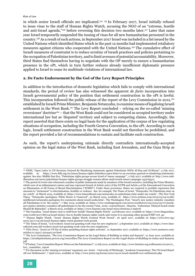in which senior Israeli officials are implicated.<sup>154</sup> 155 In February 2017, Israel initially refused to issue visas to the staff of Human Rights Watch, accusing the NGO of an "extreme, hostile and anti-Israel agenda,"156 before reversing this decision two months later.157 Later that same year Israel temporarily suspended the issuing of visas for all new humanitarian personnel in the country.158 As a result of such actions, in September 2017 Israel was included in a list issued by the United Nations which identified States which in the past 12 months had implemented retaliatory measures against citizens who cooperated with the United Nations.159 The cumulative effect of Israeli measures of constraint is to reduce scrutiny of Israeli practices and policies pertaining to the occupation of Palestinian territory, and to limit avenues of potential accountability. Moreover, third States find themselves having to negotiate with the OP merely to ensure a humanitarian presence in the oPt, which in turn further reduces already insufficient diplomatic pressure applied to Israel to cease its multitude violations of international law.

#### **2. De Facto Endorsement by the GoI of the Levy Report Principles**

In addition to the introduction of domestic legislation which fails to comply with international standards, the period of review has also witnessed the apparent *de facto* incorporation into Israeli governmental policy of the position that settlement construction in the oPt is lawful. This incorporation followed the public release of the report of the Levy Commission in 2012,160 established by Israeli Prime Minister, Benjamin Netanyahu, to examine means of legalising Israeli settlement in the West Bank.<sup>161</sup> The Levy Report concluded – relying on the so-called 'missing reversioner' doctrine<sup>162</sup> – that the West Bank could not be considered as occupied territory under international law but as 'disputed' territory and subject to competing claims. Accordingly, the report asserted that there exists no legal basis for the application of the corpus of law regulating situations of occupation, including the Fourth Geneva Convention, to the oPt. According to such logic, Israeli settlement construction in the West Bank would not therefore be prohibited, and the report provided a list of recommendations to sustain and facilitate such construction.

As such, the report's underpinning rationale directly contradicts internationally-accepted opinion on the legal status of the West Bank, including East Jerusalem, and the Gaza Strip as

<sup>154</sup> FIDH, "Open Letter to UN Secretary General Re Slandering statements against Palestinian NGOs Al-Haq and Al-Mezan", 4 July 2017, available at: https://www.fidh.org/en/issues/human-rights-defenders/open-letter-to-un-secretary-general-re-slandering-statementsagainst. See also: Middle East Eye, "Palestinian rights groups accuse Israel of 'smear campaign'", 2 July 2017, available at: http://www.middleeasteye.net/news/palestinian-human-rights-groups-struggle-remain-afloat-amid-israeli-smear-campaign-1552795311.

<sup>&</sup>lt;sup>155</sup> The period of review also witnessed a number of public statements made by members of the Israeli executive, including the Prime Minister, which were of an inflammatory nature and may represent breach of Article 20(2) of the ICCPR and Article 4 of the International Convention on Elimination of All Forms of Racial Discrimination ("ICERD"). Under these provisions, States are required to prohibit expression that amounts to "incitement" to discrimination, hostility or violence. See: for example: The Times of Israel, "Netanyahu: No Palestinian state on my watch", 16 March 2015, available at: https://www.timesofisrael.com/netanyahu-no-palestinian-state-under-my-watch/ ; The New York Times, "Netanyahu Apologizes; White House is Unmoved", 23 March 2015, available at: https://www.nytimes.com/2015/03/24/world/ middleeast/netanyahu-apologizes-for-comments-about-israeli-arabs.html ; The Washington Post, "Israel's new justice minister considers all Palestinians to be 'the enemy'", 7 May 2015, available at: https://www.washingtonpost.com/news/worldviews/wp/2015/05/07/israelsnew-justice-minister-considers-all-palestinians-to-be-the-enemy/?utm\_term=.1cae057b0a20 ; Haaretz, "Lieberman: Disloyal Israeli Arabs Should Be Beheaded", 9 March 2015, available at: https://www.haaretz.com/israel-news/elections/1.646076

<sup>156</sup> The Guardian, "Israel denies visas to staff from 'hostile' Human Rights Watch", 24 February 2017, available at: https://www.theguardian. com/world/2017/feb/24/israel-denies-visa-to-hostile-human-rights-watch-and-warns-it-is-assessing-other-groups?CMP=twt\_gu 157 Human Rights Watch, "Israel: Human Rights Watch Granted Work Permit", 26 April 2017, available at: https://www.hrw.org/

news/2017/04/26/israel-human-rights-watch-granted-work-permit

<sup>&</sup>lt;sup>158</sup> The Times of Israel, "A id workers: Israel not granting work visas for new employees", 5 September 2017, available at: https://www.timesofisrael.com/aid-workers-israel-not-granting-work-visas-for-new-employees/

<sup>159</sup> YNet News, "Israel on UN list of states punishing human rights activism", 21 September 2017, available at: https://www.ynetnews.com/ articles/0,7340,L-5019401,00.html

<sup>160</sup> The Levy Commission, "The Levy Commission Report on the Legal Status of Building in Judea and Samaria", 21 June 2012, available at: https://israelipalestinian.procon.org/sourcefiles/The-Levy-Commission-Report-on-the-Legal-Status-of-Building-in-Judea-and-Samaria. pdf

<sup>161</sup> B'Tselem, "Levy Committee Report: Where are the Palestinians?", 11 July 2012, available at: http://www.btselem.org/setllements/20120711\_ levy\_committee\_report

<sup>162</sup> For discussion on the 'missing reversioner' argument, see: Jurist – University of Pittsburgh, "Academic Commentary: The US-Israel Standoff over Settlements", 7 April 2010, available at: http://www.jurist.org/forum/2010/04/us-israel-standoff-over-settlements.php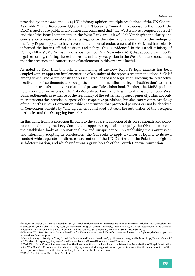provided by, *inter alia*, the 2004 ICJ advisory opinion, multiple resolutions of the UN General Assembly<sup>163</sup> and Resolution 2334 of the UN Security Council. In response to the report, the ICRC issued a rare public intervention and confirmed that "the West Bank is occupied by Israel" and that "the Israeli settlements in the West Bank are unlawful".164 Yet despite the clarity and consistency of rejection of settlements' legality by the international community, the findings of the Levy Report appear to have received the informal endorsement of the GoI, and have clearly informed the latter's official position and policy. This is evidenced in the Israeli Ministry of Foreign Affairs' (MoFA) issuing of a position note<sup>165</sup> in November 2015 that adopted the report's legal reasoning, refuting the existence of a military occupation in the West Bank and concluding that the presence and construction of settlements in this area was lawful.

As noted by Yesh Din, this official channelling of the Levy Report's legal analysis has been coupled with an apparent implementation of a number of the report's recommendations.166 Chief among which, and as previously addressed, Israel has passed legislation allowing the retroactive legalisation of settlements and outposts and, in turn, afforded legal 'justification' to mass population transfer and expropriation of private Palestinian land. Further, the MoFA position note also cited provisions of the Oslo Accords pertaining to Israeli legal jurisdiction over West Bank settlements as evidence of the legitimacy of the settlement project generally. This not only misrepresents the intended purpose of the respective provisions, but also contravenes Article 47 of the Fourth Geneva Convention, which determines that protected persons cannot be deprived of Convention benefits by "any agreement concluded between the authorities of the occupied territories and the Occupying Power".167

In this light, from its inception through to the apparent adoption of its core rationale and policy recommendations, the Levy Commission appears a cynical attempt by the OP to circumvent the established body of international law and jurisprudence. In establishing the Commission and informally adopting its conclusions, the GoI seeks to apply a veneer of legality to its own conduct which operates in direct contravention of the UN Charter and the Palestinian right to self-determination, and which underpins a grave breach of the Fourth Geneva Convention.

<sup>163</sup> See, for example: UN General Assembly, "69/92. Israeli settlements in the Occupied Palestinian Territory, including East Jerusalem, and the occupied Syrian Golan", A/RES/69/92, 16 December 2014; UN General Assembly, "Resolution 70/89. Israeli settlements in the Occupied Palestinian Territory, including East Jerusalem, and the occupied Syrian Golan", A/RES/70/89, 15 December 2015.

<sup>164</sup> Haaretz, "The Levy Report vs. International Law", 4 November 2012, available at: https://www.haaretz.com/opinion/the-levy-report-vsinternational-law-1.474129.

<sup>165</sup> Israel Ministry of Foreign Affairs, "Israeli Settlements and International Law", 30 November 2015, available at: http://www.mfa.gov.il/ mfa/foreignpolicy/peace/guide/pages/israeli%20settlements%20and%20international%20law.aspx.

<sup>166</sup> Yesh Din, "From Occupation to Annexation: the Silent Adoption of the Levy Report on Retroactive Authorization of Illegal Construction in the West Bank", 2 February 2016, available at: https://www.yesh-din.org/en/from-occupation-to-annexation-the-silent-adoption-of-thelevy-report-on-retroactive-authorization-of-illegal-construction-in-the-west-bank/.

<sup>167</sup> ICRC, Fourth Geneva Convention, Article 47.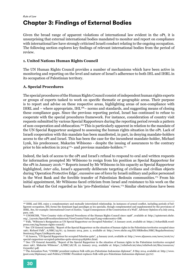## **Chapter 3: Findings of External Bodies**

Given the broad range of apparent violations of international law evident in the oPt, it is unsurprising that external international bodies mandated to monitor and report on compliance with international law have strongly criticised Israeli conduct relating to the ongoing occupation. The following section explores key findings of relevant international bodies from the period of review.

#### **1. United Nations Human Rights Council**

The UN Human Rights Council provides a number of mechanisms which have been active in monitoring and reporting on the level and nature of Israel's adherence to both IHL and IHRL in its occupation of Palestinian territory.

#### **A. Special Procedures**

The special procedures of the Human Rights Council consist of independent human rights experts or groups of experts tasked to work on specific thematic or geographic areas. Their purpose is to report and advise on these respective areas, highlighting areas of non-compliance with IHRL and – where appropriate, IHL168– norms and standards, and suggesting means of closing these compliance gaps. Since the previous reporting period, Israel has continued to refuse to cooperate with the special procedures framework. For instance, consideration of country visit requests submitted by various Special Rapporteurs during the reporting period reveals a pattern of non-cooperation and obfuscation.169 This is particularly apparent in relation to the mandate of the UN Special Rapporteur assigned to assessing the human rights situation in the oPt. Lack of Israeli cooperation with this mandate has been manifested, in part, in denying mandate-holders access to the oPt and Israel. This has been the case for the incumbent mandate-holder, Michael Lynk, his predecessor, Makarim Wibisono - despite the issuing of assurances to the contrary prior to his selection in 2014<sup>170</sup>- and previous mandate-holders.<sup>171</sup>

Indeed, the lack of access to the oPt and Israel's refusal to respond to oral and written requests for information prompted Mr Wibisono to resign from his position as Special Rapporteur for the oPt in January 2016.172 Reports issued by Mr Wibisono in his capacity as Special Rapporteur highlighted, *inter alia*, Israel's apparently deliberate targeting of civilians and civilian objects during 'Operation Protective Edge', excessive use of force by Israeli military and police personnel in the West Bank and the forcible transfer of Palestinian Bedouin communities.173 From his initial appointment, Mr Wibisono faced criticism from Israel and resistance to his work on the basis of what the GoI regarded as his 'pro-Palestinian' views.174 Similar obstructions have been

<sup>168</sup> IHRL and IHL enjoy a complementary and mutually interrelated relationship. In instances of armed conflict, including periods of belligerent occupation, IHL forms the dominant legal paradigm as lex specialis, though complemented and supplemented by the provisions of IHRL. See, for example: International Court of Justice, "Legal Consequences of the Construction of a Wall", Advisory Opinion of 9 July 2004, para. 106.

<sup>169</sup> UNOHCHR, "View Country visits of Special Procedures of the Human Rights Council since 1998", available at: http://spinternet.ohchr. org/\_Layouts/SpecialProceduresInternet/ViewCountryVisits.aspx?Lang=en&country=ISR.

<sup>170</sup> Falk, "Wibisono's Resignation as UN Special Rapporteur on Occupied Palestine", 6 January 2016, available at: https://richardfalk.wordpress.com/tag/human-rights-council/.

<sup>171</sup> See: UN General Assembly, "Report of the Special Rapporteur on the situation of human rights in the Palestinian territories occupied since 1967, Richard Falk", A/HRC/25/67, 13 January 2014, para. 2, available at: http://www.ohchr.org/EN/HRBodies/HRC/RegularSessions/ Session25/Pages/ListReports.aspx.

<sup>172</sup> Al Jazeera, "UN Special Rapporteur for occupied Palestine quits", 4 January 2016, available at: http://www.aljazeera.com/news/2016/01/ special-rapporteur-occupied-palestine-quits-160104141856801.html.

<sup>173</sup> See: UN General Assembly, "Report of the Special Rapporteur in the situation of human rights in the Palestinian territories occupied since 1967, Makarim Wibisono", A/HRC/28/78, 22 January 2015, available at: https://reliefweb.int/sites/reliefweb.int/files/resources/ G1500827.pdf.

<sup>174</sup> The Jerusalem Post, "UNHRC president replaces Falk with pro-Palestinian Indonesian diplomat", 8 May 2014, available at: http://www. jpost.com/Diplomacy-and-Politics/UNHRC-President-replaces-Falk-with-pro-Palestinian-Indonesian-diplomat-351707.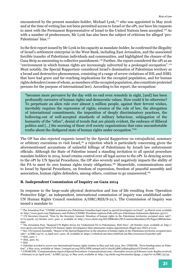encountered by the present mandate-holder, Michael Lynk,175 who was appointed in May 2016 and at the time of writing has not been permitted access to Israel or the oPt, nor have his requests to meet with the Permanent Representative of Israel to the United Nations been accepted.<sup>176</sup> As with a number of predecessors, Mr Lynk has also been the subject of criticism for alleged 'pro-Palestinian' bias.177

In the first report issued by Mr Lynk in his capacity as mandate-holder, he confirmed the illegality of Israel's settlement enterprise in the West Bank, including East Jerusalem, and the associated forcible transfer of Palestinian individuals and communities, and highlighted the closure of the Gaza Strip as amounting to collective punishment.<sup>178</sup> Further, the report considered the oPt as an "environment in which human rights are increasingly subverted by a prolonged occupation".179 Most notably, the Special Rapporteur considered Israel's domination of Palestinian territory as a broad and destructive phenomenon, consisting of a range of severe violations of IHL and IHRL that have had grave and far-reaching implications for the occupied population, and for human rights defenders (some of whom, as members of the occupied population, also constitute protected persons for the purpose of international law). According to his report, the occupation:

"becomes more pervasive by the day with no end even remotely in sight, [and] has been profoundly corrosive of human rights and democratic values. How could it be otherwise? To perpetuate an alien rule over almost 5 million people, against their fervent wishes, inevitably requires the repression of rights, erosion of the rule of law, the abrogation of international commitments, the imposition of deeply discriminatory practices, the hollowing-out of well-accepted standards of military behaviour, subjugation of the humanity of the "other", denial of trends that are plainly evident, the embrace of illiberal politics and [...] the scorning of those civil society organizations that raise uncomfortable truths about the disfigured state of human rights under occupation."<sup>180</sup>

The OP has also rejected requests issued by the Special Rapporteur on extrajudicial, summary or arbitrary executions to visit Israel,<sup>181</sup> a rejection which is particularly concerning given the aforementioned accusations of unlawful killings of Palestinians by Israeli law enforcement officials. Although the State of Palestine issued a standing invitation to all special procedure mandate holders in 2014, Israel retains control over all legal access to the oPt. In denying access to the oPt by UN Special Procedures, the OP also severely and negatively impacts the ability of the PA to meet its own human rights treaty obligations.182 Meanwhile, communications sent to Israel by Special Procedures, on freedom of expression, freedom of peaceful assembly and association, human rights defenders, among others, continue to go unanswered.183

#### **B. Independent Commission of Inquiry on Gaza 2014**

In response to the large-scale physical destruction and loss of life resulting from 'Operation Protective Edge', an independent, international commission of inquiry was established under UN Human Rights Council resolution A/HRC/RES/S-21/1. The Commission of Inquiry was issued a mandate to:

179 Ibid., para. 7. 180 Ibid., para. 62.

<sup>175</sup> The Jerusalem Post, "UNHRC nominates pro-Palestinian Canadian legal expert as special investigator on Israel", 24 March 2016, available at: http://www.jpost.com/Diplomacy-and-Politics/UNHRC-President-replaces-Falk-with-pro-Palestinian-Indonesian-diplomat-351707. <sup>176</sup> UN Secretary-General, "Note by the Secretary General: Situation of human rights in the Palestinian territories occupied since 1967",

A/72/43106, 23 October 2017, para. 2, available at: http://www.ohchr.org/EN/HRBodies/SP/CountriesMandates/PS/Pages/SRPalestine. aspx.

<sup>&</sup>lt;sup>177</sup> The Jerusalem Post, "Suspend UN Rights Envoy for Undisclosed Tie to Palestinians, NGO Says", 28 October 2016, available at: http:// www.jpost.com/Israel-News/UN-human-rights-investigators-false-statements-makes-appointment-illegal-says-NGO-471120. 178 See: UN General Assembly, "Report of the Special Rapporteur in the situation of human rights in the Palestinian territories occupied since

<sup>1967&</sup>quot;, A/HRC/34/70, 13 April 2017, para. 18, available at: https://reliefweb.int/sites/reliefweb.int/files/resources/G1500827.pdf.

<sup>&</sup>lt;sup>181</sup> Ibid.

<sup>182</sup> Palestine acceded to seven core international human rights treaties in May and July 2014. See: UNHCHR, "Press briefing notes on Palestine", 2 May 2014, available at: https://unispal.un.org/DPA/DPR/unispal.nsf/0/262AC5B8C25B364585257CCF006C010D.

<sup>183</sup> UNOHCHR, "Communications report of Special Procedures: Communications sent, 1 December 2015 to 29 February 2016; Replies received, 1 February to 30 April 2016," A/HRC/32/53, 27 May 2016, available at: http://ap.ohchr.org/documents/dpage\_e.aspx?si=A/HRC/32/53.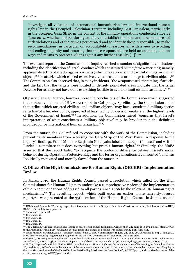"investigate all violations of international humanitarian law and international human rights law in the Occupied Palestinian Territory, including East Jerusalem, particularly in the occupied Gaza Strip, in the context of the military operations conducted since 13 June 2014, whether before, during or after, to establish the facts and circumstances of such violations and of the crimes perpetrated and to identify those responsible, to make recommendations, in particular on accountability measures, all with a view to avoiding and ending impunity and ensuring that those responsible are held accountable, and on ways and means to protect civilians against any further assaults [...]".184

The eventual report of the Commission of Inquiry reached a number of significant conclusions, including the identification of Israeli conduct which constituted *prima facie* war crimes; namely, apparent directing of attacks against civilians (which may also amount to wilful killings) or civilian objects,185 or attacks which caused excessive civilian casualties or damage to civilian objects.186 The Commission also observed that, in many incidents, "the weapons used, the timing of attacks, and the fact that the targets were located in densely populated areas indicate that the Israel Defense Forces may not have done everything feasible to avoid or limit civilian casualties."187

Of particular significance, however, were the conclusions of the Commission which suggested that serious violations of IHL were rooted in GoI policy. Specifically, the Commission noted that strikes which targeted civilians and civilian objects "may have constituted military tactics reflective of a broader policy, approved at least tacitly by decision-makers at the highest levels of the Government of Israel."188 In addition, the Commission raised "concerns that Israel's interpretation of what constitutes a 'military objective' may be broader than the definition provided for by international humanitarian law."189

From the outset, the GoI refused to cooperate with the work of the Commission, including preventing its members from accessing the Gaza Strip or the West Bank. In response to the inquiry's findings, Prime Minister Benjamin Netanyahu labelled the report "biased" and written "under a committee that does everything but protect human rights."190 Similarly, the MoFA asserted that the report failed "to recognize the profound difference between Israel's moral behavior during Operation Protective Edge and the terror organizations it confronted", and was "politically motivated and morally flawed from the outset."<sup>191</sup>

#### **C. Office of the High Commissioner for Human Rights (OHCHR) - Implementation Review**

In March 2016, the Human Rights Council passed a resolution which called for the High Commissioner for Human Rights to undertake a comprehensive review of the implementation of the recommendations addressed to all parties since 2009 by the relevant UN human rights mechanisms.192 The resulting report, which built upon an earlier, more narrowly-focused report,193 was presented at the 35th session of the Human Rights Council in June 2017 and

<sup>184</sup> UN General Assembly, "Ensuring respect for international law in the Occupied Palestinian Territory, including East Jerusalem", A/HRC/ RES/S-21/1, 24 July 2014, para. 13.

<sup>185</sup> Supra note 7, para. 38.

<sup>186</sup> Ibid., para. 42.

<sup>187</sup> Ibid., para. 41.

<sup>188</sup> Ibid., para. 44.

<sup>189</sup> Ibid., para. 45.

<sup>190</sup> The Guardian, "UN accuses Israel and Hamas of possible war crimes during 2014 Gaza conflict", 22 June 2015, available at: https://www. theguardian.com/world/2015/jun/22/un-accuses-israel-and-hamas-of-possible-war-crimes-during-2014-gaza-war.

<sup>191</sup> Israel Ministry of Foreign Affairs, "Israeli response to the UNHRC Commission of Inquiry", 22 June 2015, available at: http://mfa.gov.il/ MFA/PressRoom/2015/Pages/Israeli-response-to-the-UNHRC-Commission-of-Inquiry-22-Jun-2015.aspx.

<sup>192</sup> UNHRC, "Ensuring accountability and justice for all violations of international law in the Occupied Palestinian Territory, including East Jerusalem", A/HRC/31L.38, 22 March 2016, para. 8, available at: http://ap.ohchr.org/documents/dpage\_e.aspx?si=A/HRC/31/L.38. 193 UNGA, "Report of the United Nations High Commissioner for Human Rights on the implementation of Human Rights Council resolutions

 $S/91$  and  $S-12/1$ ; Addendum-Implementation of the recommendations contained in the reports of the independent commission of inquiry on the 2014 Gaza conflict and of the United Nations Fact-Finding Mission on the Gaza Conflict", A/HRC/31/40/Add.1, 7 March 2016, available at: http://undocs.org/A/HRC/31/40/Add.1.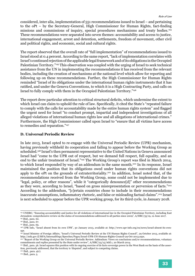considered, inter alia, implementation of 551 recommendations issued to Israel – and pertaining to the oPt – by the Secretary-General, High Commissioner for Human Rights, fact-finding missions and commissions of inquiry, special procedures mechanisms and treaty bodies.194 These recommendations were separated into seven themes: accountability and access to justice, international engagement, arrest and detention, settlements, freedom of movement, other civil and political rights, and economic, social and cultural rights.

The report observed that the overall rate of "full implementation" of recommendations issued to Israel stood at 0.4 percent. According to the same report, "lack of implementation correlates with Israel's continued rejection of the applicable legal framework and of its obligations in the Occupied Palestinian Territory."195 This observation was coupled with the urging of Israel to seek technical assistance from the UN in implementing the recommendations it has received from the relevant bodies, including the creation of mechanisms at the national level which allow for reporting and following up on these recommendations. Further, the High Commissioner for Human Rights reminded "Israel of its obligations under the international human rights instruments that it has ratified, and under the Geneva Conventions, to which it is a High Contracting Party, and calls on Israel to fully comply with them in the Occupied Palestinian Territory."196

The report drew particular attention to critical structural deficits, which undermine the extent to which Israel can claim to uphold the rule of law. Specifically, it cited the State's "repeated failure to comply with the calls for accountability made by the entire human rights system" and flagged the urgent need for Israel "to conduct prompt, impartial and independent investigations of all alleged violations of international human rights law and all allegations of international crimes." Furthermore, the High Commissioner called upon Israel to "ensure that all victims have access to remedies and reparation."197

#### **D. Universal Periodic Review**

In late 2013, Israel opted to re-engage with the Universal Periodic Review (UPR) mechanism, having previously withheld its cooperation and failing to appear before the Working Group as scheduled.198 Israel's then permanent representative to the United Nations in Geneva announced Israel had "come to the UPR out of respect, but we demand full respect, full equality, and an end to the unfair treatment of Israel."199 The Working Group's report was filed in March 2014, to which Israel responded by way of an addendum in the same month.200 In its response, Israel maintained the position that its obligations owed under human rights conventions did not apply to the oPt on the grounds of extraterritoriality.201 In addition, Israel noted that, of the recommendations received from the Working Group, some could not be implemented due to "legal, policy, or other reasons", while it "categorically denounce[d]" other recommendations as they were, according to Israel, "based on gross misrepresentation or perversion of facts."<sup>202</sup> According to the addendum, "[c]ertain countries chose to include in their recommendations inaccurate assumptions, inflammatory rhetoric, and false or misleading factual claims".203 Israel is next scheduled to appear before the UPR working group, for its third cycle, in January 2018.

 $202$  Ibid., para.  $4(c)$ .

203 Ibid., para. 5.

<sup>194</sup> UNHRC, "Ensuring accountability and justice for all violations of international law in the Occupied Palestinian Territory, including East Jerusalem: comprehensive review on the status of recommendations addressed to all parties since 2009", A/HRC/35/19, 12 June 2017.

<sup>195</sup> Ibid., para. 60.

<sup>196</sup> Ibid., para. 67.

<sup>197</sup> Ibid., para. 69.

<sup>198</sup> UPR Info, "Israel absent from its own UPR", 30 January 2013, available at: http://www.upr-info.org/en/news/israel-absent-its-ownupr.

<sup>&</sup>lt;sup>199</sup> Israel Ministry of Foreign Affairs, "Israel's Universal Periodic Review at the UN Human Rights Council", 29 October 2013, available at: http://mfa.gov.il/MFA/InternatlOrgs/Speeches/Pages/Israel-UPR-UN-Human-Rights-Council-29-Oct-2013.aspx.

<sup>200 &</sup>quot;Report of the Working Group on the Universal Periodic Review. Addendum: Views on conclusions and/or recommendations, voluntary commitments and replies presented by the State under review", A/HRC/25/15/Add.1, 20 March 2014.

<sup>201</sup> Ibid., para. 56. Israel squares this position with its ongoing exercise of de facto sovereign power in the West Bank on the basis of the assertion, previously addressed, that the territory is 'disputed', and subject to competing claims.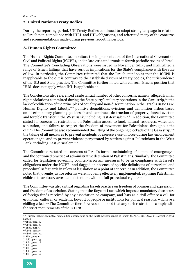#### **2. United Nations Treaty Bodies**

During the reporting period, UN Treaty Bodies continued to adopt strong language in relation to Israeli non-compliance with IHRL and IHL obligations, and reiterated many of the concerns and recommendations made during previous reporting periods.

#### **A. Human Rights Committee**

The Human Rights Committee monitors the implementation of the International Covenant on Civil and Political Rights (ICCPR), and in late 2014 undertook its fourth periodic review of Israel. The Committee's Concluding Observations were issued in November 2014, and highlighted a range of Israeli failings that have serious implications for the State's compliance with the rule of law. In particular, the Committee reiterated that the Israeli standpoint that the ICCPR is inapplicable to the oPt is contrary to the established views of treaty bodies, the jurisprudence of the ICJ and State practice. The Committee further noted with concern Israel's position that IHRL does not apply when IHL is applicable.204

The Conclusions also referenced a substantial number of other concerns, namely: alleged human rights violations committed during the State party's military operations in the Gaza strip,<sup>205</sup> the lack of codification of the principles of equality and non-discrimination in the Israel's Basic Law: Human Dignity and Liberty,<sup>206</sup> punitive demolitions, evictions and demolition orders based on discriminatory planning policies,<sup>207</sup> and continued destruction of property, forced eviction and forcible transfer in the West Bank, including East Jerusalem.<sup>208</sup> In addition, the Committee stated its concern at restrictions on Palestinian access to land, natural resources, water and sanitation, and failure to respect the freedom of movement for Palestinians throughout the oPt.209 The Committee also recommended the lifting of the ongoing blockade of the Gaza strip,210 the taking of all measures to prevent incidents of excessive use of force during law enforcement operations,211 and to prevent violence perpetrated by settlers against Palestinians in the West Bank, including East Jerusalem.212

The Committee restated its concerns at Israel's formal maintaining of a state of emergency<sup>213</sup> and the continued practice of administrative detention of Palestinians. Similarly, the Committee called for legislation governing counter-terrorism measures to be in compliance with Israel's obligations under the ICCPR, and flagged an absence of specific definitions of 'terrorism' and procedural safeguards in relevant legislation as a point of concern.214 In addition, the Committee noted that juvenile justice reforms were not being effectively implemented, exposing Palestinian children to arbitrary arrest and detention, without full procedural rights.<sup>215</sup>

The Committee was also critical regarding Israeli practice on freedom of opinion and expression, and freedom of association. Stating that the Boycott Law, which imposes mandatory disclosure of foreign funds received by any association or company, and lists as a civil offence a call for economic, cultural, or academic boycott of people or institutions for political reasons, will have a chilling effect.<sup>216</sup> The Committee therefore recommended that any such restrictions comply with the strict requirements of the ICCPR.

- <sup>208</sup> Ibid., para.17.
- 
- <sup>209</sup> Ibid., para. 17.<br><sup>210</sup> Ibid., para 12.
- <sup>211</sup> Ibid., para. 13.
- 212 Ibid., para. 16.
- 213 Ibid., para. 10.
- 214 Ibid., para. 11. 215 Ibid., para. 19.

<sup>204</sup> Human Rights Committee, "Concluding observations on the fourth periodic report of Israel", CCPR/C/ISR/CO/4, 21 November 2014, para. 5.

 $205$  Ibid., para. 6.

<sup>&</sup>lt;sup>206</sup> Ibid., para. 7.<br><sup>207</sup> Ibid., para 9.

<sup>216</sup> Ibid., para. 22.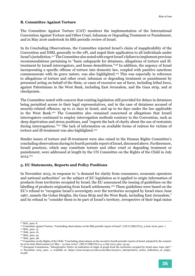#### **B. Committee Against Torture**

The Committee Against Torture (CAT) monitors the implementation of the International Convention Against Torture and Other Cruel, Inhuman or Degrading Treatment or Punishment, and in May 2016 undertook its fifth periodic review of Israel.

In its Concluding Observations, the Committee rejected Israel's claim of inapplicability of the Convention and IHRL generally to the oPt, and urged their application to all individuals under Israel's jurisdiction.217 The Committee also noted with regret Israel's failure to implement previous recommendations pertaining to "basic safeguards for detainees, allegations of torture and illtreatment by Israeli interrogators, and house demolitions."218 In addition, the urgency of Israel incorporating a specific offense of torture into domestic law, coupled with punitive sanctions commensurate with its grave nature, was also highlighted.219 This was especially in reference to allegations of torture and other cruel, inhuman or degrading treatment or punishment by personnel acting on behalf of the State, or cases of excessive use of force, including lethal force, against Palestinians in the West Bank, including East Jerusalem, and the Gaza strip, and at checkpoints.

The Committee noted with concern that existing legislation still provided for delays in detainees being permitted access to their legal representatives, and in the case of detainees accused of security-related offences, up to 21 days in Israel, and up to 60 days under the law applicable in the West Bank.220 The Committee also remained concerned at allegations that Israeli interrogators continued to employ interrogation methods contrary to the Convention, such as sleep deprivation and stress positions, and "regrets the lack of clarity about the use of restraints during interrogations."221 The lack of information on available forms of redress for victims of torture and ill-treatment was also highlighted.<sup>222</sup>

Similar issues of torture and ill-treatment were also raised in the Human Rights Committee's concluding observations during its fourth periodic report of Israel, discussed above. Furthermore, Israeli practices, which may constitute torture and other cruel or degrading treatment or punishment, were addressed at length by the UN Committee on the Rights of the Child in July 2013.223

#### **3. EU Statements, Reports and Policy Positions**

In November 2015, in response to "a demand for clarity from consumers, economic operators and national authorities" on the subject of EU legislation as it applied to origin information of products from territories occupied by Israel, the EU announced the issuing of guidelines on the labelling of products originating from Israeli settlements.224 These guidelines were based on the EU's refusal to "recognise Israel's sovereignty over the territories occupied by Israel since June 1967, namely the Golan Heights, the Gaza Strip and the West Bank, including East Jerusalem," and its refusal to "consider them to be part of Israel's territory, irrespective of their legal status

<sup>217</sup> Ibid., para. 8.

<sup>&</sup>lt;sup>218</sup> Committee against Torture, "Concluding observations on the fifth periodic report of Israel", CAT/C/ISR/CO/5, 3 June 2016, para. 7.

<sup>219</sup> Ibid., para. 13.

<sup>220</sup> Ibid., para. 16.

<sup>221</sup> Ibid., para. 30.

<sup>222</sup> Ibid., para. 48.

<sup>&</sup>lt;sup>223</sup> Committee on the Rights of the Child, "Concluding observations on the second to fourth periodic reports of Israel, adopted by the committee at its sixty-third session  $(27 \text{ May} - 14 \text{ June } 2013)^n$ , CRC/C/ISR/CO/2-4, 4 July 2013, para. 35-44.

<sup>&</sup>lt;sup>224</sup> European Commission, "Interpretative Notice on indication of origin of goods from the territories occupied by Israel since June 1967", 11 November 2015, para. 2, available at: https://eeas.europa.eu/sites/eeas/files/20151111\_interpretative\_notice\_indication\_of\_origin\_ en.pdf.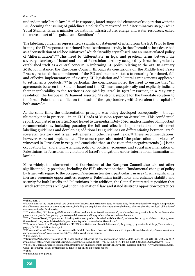under domestic Israeli law." 225 226 In response, Israel suspended elements of cooperation with the EU, deeming the issuing of guidelines a politically motivated and discriminatory step, $227$  while Yuval Steinitz, Israel's minister for national infrastructure, energy and water resources, called the move an act of "disguised anti-Semitism".<sup>228</sup>

The labelling guidelines represented a significant statement of intent from the EU. Prior to their issuing, the EU response to continued Israeli settlement activity in the oPt could be best described as a "constellation of ad-hoc initiatives" which "steadily crystallised into an unarticulated policy of 'differentiation'".229 This need to 'differentiate' in legal and practical terms between the sovereign territory of Israel and that of Palestinian territory occupied by Israel has gradually established itself as a central concern in informing EU policy relating to the oPt. In January 2016, for instance, the European Council, through its conclusions on the Middle East Peace Process, restated the commitment of the EU and members states to ensuring "continued, full and effective implementation of existing EU legislation and bilateral arrangements applicable to settlements products."230 In particular, the conclusions noted the need to ensure that "all agreements between the State of Israel and the EU must unequivocally and explicitly indicate their inapplicability to the territories occupied by Israel in 1967."231 Further, in a May 2017 resolution, the European Parliament asserted "its strong support for the two-state solution to the Israeli-Palestinian conflict on the basis of the 1967 borders, with Jerusalem the capital of both states".232

At the same time, the differentiation principle was being developed conceptually – though ultimately not in practice – in an EU Heads of Mission report on Jerusalem. This confidential report, completed in early 2016 and leaked to the media in July 2016, made a number of important recommendations, including pursuing the full and effective implementation of settlement labelling guidelines and developing additional EU guidelines on differentiating between Israeli sovereign territory and Israeli settlements in other relevant fields.<sup>233</sup> These recommendations, however, were not implemented. The same report also noted "the polarisation and violence" witnessed in Jerusalem in 2015, and concluded that "at the root of the negative trends […] is the occupation […] and a long-standing policy of political, economic and social marginalisation of Palestinians in Jerusalem in violation of Israel's obligations under international humanitarian law".<sup>233</sup>

More widely, the aforementioned Conclusions of the European Council also laid out other significant policy positions, including the EU's observation that a "fundamental change of policy by Israel with regard to the occupied Palestinian territory, particularly in Area C, will significantly increase economic opportunities, empower Palestinian institutions and enhance stability and security for both Israelis and Palestinians."235In addition, the Council reiterated its position that Israeli settlements are illegal under international law, and stated its strong opposition to practices

234 Ibid.

<sup>235</sup> Supra note 230, para. 3.



<sup>225</sup> Ibid., para. 1.

<sup>226</sup> Article 41(2) of the International Law Commission's 2001 Draft Articles on State Responsibility for Internationally Wrongful Acts provides that all serious breaches of peremptory norms, including the acquisition of territory through the use of force, give rise to a legal obligation of non-recognition by third parties.

<sup>&</sup>lt;sup>227</sup> The Guardian, "EU issues guidelines on labelling products from Israeli settlements", 11 November 2015, available at: https://www.theguardian.com/world/2015/nov/11/eu-sets-guidelines-on-labelling-products-from-israeli-settlements.

<sup>228</sup> The Times of Israel, "Top minister: Labeling settlement products is veiled anti-Semitism", 10 November 2015, available at: https://www. timesofisrael.com/top-minister-labeling-settlement-products-is-veiled-anti-semitism/.

<sup>229</sup> European Council on Foreign Relations, "EU Differentiation and Israeli Settlements", July 2015, p. 4, available at: http://www.ecfr.eu/ page/-/EuDifferentiation-final3.pdf.

<sup>230</sup> European Council, "Council conclusions on the Middle East Peace Process", 18 January 2016, para. 8, available at: http://www.consilium. europa.eu/en/press/press-releases/2016/01/18/fac-conclusions-mepp/. 231 Ibid., para. 8.

<sup>&</sup>lt;sup>232</sup> European Parliament, "Resolution of 18 May 2017 on achieving the two-state solution in the Middle East", 2016/2998(RSP), 18 May 2017, available at: http://www.europarl.europa.eu/sides/getDoc.do?pubRef=-//EP//TEXT+TA+P8-TA-2017-0226+0+DOC+XML+V0//EN.

<sup>233</sup> See: The Guardian, "Israeli settlements: EU fails to act on its diplomats' report", 12 July 2016, available at: https://www.theguardian.com/ world/2016/jul/12/israeli-settlements-eu-fails-to-act-on-its-diplomats-report.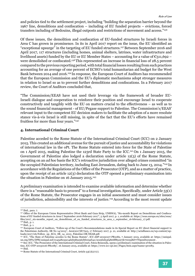and policies tied to the settlement project, including "building the separation barrier beyond the 1967 line, demolitions and confiscation – including of EU funded projects – evictions, forced transfers including of Bedouins, illegal outposts and restrictions of movement and access."236

Of these issues, the demolition and confiscation of EU-funded structures by Israeli forces in Area C has grown in prominence. In its in April 2017 report on the issue, the EU identified an "exceptional upsurge" in the targeting of EU funded structures.237 Between September 2016 and April 2017, 117 structures (including homes, animal shelters, latrines, water infrastructure and livelihood assets) funded by the EU or EU Member States – accounting for a value of  $\epsilon_{311,692}$  – were demolished or confiscated.<sup>238</sup>This represented an increase in financial loss of 28.5 percent compared to the previous reporting period, with total financial losses resulting from such practices accounting for an average of one percent of ECHO's total humanitarian aid budget for the West Bank between 2014 and 2016.239 In response, the European Court of Auditors has recommended that the European Commission and the EU's diplomatic mechanisms adopt stronger measures in relation to Israel so as to prevent further demolitions and confiscations. In a February 2017 review, the Court of Auditors concluded that,

"The Commission/EEAS have not used their leverage via the framework of broader EU-Israeli dialogue and cooperation to reinforce their position and encourage Israel to cooperate constructively and tangibly with the EU on matters crucial to the effectiveness – as well as to the sound financial management - of EU/Pegase support to Palestine. The Commission's/EEAS' relevant input to the competent EU decision makers to facilitate the adoption of a more resolute stance vis-à-vis Israel is still missing, in spite of the fact that the EU's efforts have remained fruitless for more than four years."240

#### **4. International Criminal Court**

Palestine acceded to the Rome Statute of the International Criminal Court (ICC) on 2 January 2015. This created an additional avenue for the pursuit of justice and accountability for violations of international law in the oPt. The Rome Statute entered into force for the State of Palestine on 1 April 2015, making Palestine the 123rd State Party to the ICC.<sup>241</sup> On 1 January 2015, the Government of Palestine also lodged a declaration under article 12(3) of the Rome Statute, accepting on an *ad hoc* basis the ICC's retroactive jurisdiction over alleged crimes committed "in the occupied Palestinian territory, including East Jerusalem, dating back to June 13, 2014."<sup>242</sup> In accordance with the Regulations of the Office of the Prosecutor (OTP), and as a matter of practice, upon the receipt of an article 12(3) declaration the OTP opened a preliminary examination into the situation in Palestine on 16 January 2015. $243$ 

A preliminary examination is intended to examine available information and determine whether there is a "reasonable basis to proceed" to a formal investigation. Specifically, under Article 53(1) of the Rome Statute, the Prosecutor engages in an initial assessment and must consider issues of jurisdiction, admissibility and the interests of justice.244 According to the most recent update

<sup>236</sup> Ibid., para. 7.

<sup>237</sup> Office of the European Union Representative (West Bank and Gaza Strip, UNRWA), "Six-month Report on Demolitions and Confiscations of EU funded structures in Area C September 2016-February 2017", 5 April 2017, p. 1, available at: https://eeas.europa.eu/sites/eeas/ files/2017\_six-months\_report\_on\_demolitions\_of\_eu\_funded\_structures\_in\_area\_c\_september\_16-february\_17.pdf. 238 Ibid., p. 1.

<sup>239</sup> Ibid., p. 1.

<sup>240</sup> European Court of Auditors, "Follow-up of the Court's Recommendations made in its Special Report on EU direct financial support to the Palestinian Authority, SR No 14/2013", Ares(2017)877915, 17 February 2017, p. 21, available at: http://actalliance.eu/wp-content/uploads/2017/06/Follow\_up\_ECA\_SR\_14\_2013\_Palestine-OR-NEAR.pdf.

<sup>241</sup> ICC, "The State of Palestine accedes to the Rome Statute", ICC-ASP-20150107-PR1082, 7 January 2015, available at: https://unispal. un.org/DPA/DPR/unispal.nsf/0145a8233e14d2b585256cbf005af141/2e25f2d53f48e6ff85257dc700558d77?OpenDocument .

<sup>242</sup> See: ICC, "The Prosecutor of the International Criminal Court, Fatou Bensouda, opens a preliminary examination of the situation in Palestine, ICC-OTP-20150116-PR1083", 16 January 2015, available at: https://www.icc-cpi.int//Pages/item.aspx?name=pr1083. 243 Ibid.

<sup>244</sup> Rome Statute of the International Criminal Court, Article 53(1)(a)-(c).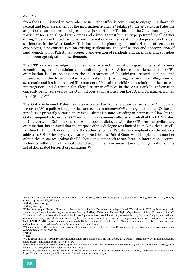from the OTP – issued in November 2016 – "the Office is continuing to engage in a thorough factual and legal assessment of the information available" relating to the situation in Palestine as part of an assessment of subject-matter jurisdiction.245 To this end, the Office has adopted a particular focus on alleged war crimes and crimes against humanity perpetrated by all parties during 'Operation Protective Edge, and international crimes relating to the presence of Israeli settlements in the West Bank.246 This includes the planning and authorisation of settlement expansions, new construction on existing settlements, the confiscation and appropriation of land, demolition of Palestinian property and eviction of residents and incentives and subsidies that encourage migration to settlements.

The OTP also acknowledged that they have received information regarding acts of violence committed against Palestinian communities by settlers. Aside from settlements, the OTP's examination is also looking into the "ill-treatment of Palestinians arrested, detained and prosecuted in the Israeli military court system [...] including, for example, allegations of systematic and institutionalised ill-treatment of Palestinian children in relation to their arrest, interrogation, and detention for alleged security offences in the West Bank."247 Information currently being reviewed by the OTP includes submissions from the PA and Palestinian human rights groups.248

The GoI condemned Palestine's accession to the Rome Statute as an act of "diplomatic terrorism",249 "a political, hypocritical and cynical manoeuvre"250 and argued that the ICC lacked jurisdiction primarily because "there is no Palestinian state according to international law."251 The GoI subsequently froze over \$127 million in tax revenues collected on behalf of the PA.<sup>252</sup> Later, in July 2015, the GoI announced it would open a dialogue with the OTP over the preliminary examination, but insisted that the purpose of this dialogue was limited to making clear Israel's position that the ICC does not have the authority to hear Palestinian complaints on the subjects addressed.<sup>253</sup> In February 2017, it was reported that the United States would implement a number of punitive measures against the PA should the latter seek to sue Israel in international courts, including withdrawing financial aid and placing the Palestinian Liberation Organization on the list of designated terrorist organisations.<sup>254</sup>

<sup>245</sup> See: ICC, "Report on Preliminary Examination Activities 2016", November 2016, para. 145, available at: https://www.icc-cpi.int/iccdocs/ otp/161114-otp-rep-PE\_ENG.pdf.

<sup>&</sup>lt;sup>246</sup> Ibid., paras. 109-145.

<sup>&</sup>lt;sup>247</sup> Ibid., para. 133.

<sup>248</sup> See, for example: Haaretz, "Palestinian Authority Submits First Documents on Alleged Israeli War Crimes to ICC", 25 June 2015, available at: https://www.haaretz.com/israel-news/1.663045; Al-Haq, "Palestinian Human Rights Organisations Submit Evidence to the ICC Prosecutor on Crimes Committed in West Bank", 20 September 2014, available at: http://www.alhaq.org/advocacy/targets/internationalcriminal-court-icc/1140-palestinian-human-rights-organisations-submit-evidence-to-the-icc-prosecutor-on-crimes-committed-in-westbank; BADIL, "BADIL delivers its first submission to the International Criminal Court", 7 March 2016, available at: https://www.badil.org/ en/publication/press-releases/77-2016/4553-pr-en-070316-10.html.

<sup>249</sup> Ma'an News, "ICC delegation to visit occupied Palestinian territory in February", 14 December 2015, available at: https://www.maannews. com/Content.aspx?id=769329.

 $250$  Ibid.

<sup>&</sup>lt;sup>251</sup> Ibid.

<sup>252</sup> The Times of Israel, "Israel freezes Palestinian funds in response to ICC bid", 3 January 2015, available at: https://www.timesofisrael.com/ israel-freezes-palestinian-funds-after-icc-bid/.

<sup>253</sup> Haaretz, "Exclusive: Israel decides to open dialogue with ICC over Gaza Preliminary Examination", 9 July 2015, available at: http://www. haaretz.com/news/diplomacy-defense/.premium-1.665172.

<sup>254</sup> Haaretz, "Palestinian Officials Say U.S. Threatens 'Severe Steps' if Leaders Sue Israel in World Court", 1 February 2017, available at: https://www.haaretz.com/middle-east-news/palestinians/.premium-1.769034.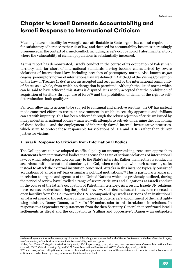## **Chapter 4: Israeli Domestic Accountability and Israeli Response to International Criticism**

Meaningful accountability for wrongful acts attributable to State organs is a central requirement for satisfactory adherence to the rule of law, and the need for accountability becomes increasingly pronounced in the context of armed conflict, including Israel's occupation of Palestinian territory, where the vulnerability of civilian populations is substantially increased.

As this report has demonstrated, Israel's conduct in the course of its occupation of Palestinian territory falls far short of international standards, having become characterised by severe violations of international law, including breaches of peremptory norms. Also known as *jus cogens*, peremptory norms of international law are defined in Article 53 of the Vienna Convention on the Law of Treaties (1969) as norms accepted and recognised by the international community of States as a whole, from which no derogation is permitted. Although the list of norms which can be said to have achieved this status is disputed, it is widely accepted that the prohibition of acquisition of territory through use of force<sup>255</sup> and the prohibition of denial of the right to selfdetermination both qualify.256

Far from allowing its actions to be subject to continual and effective scrutiny, the OP has instead made concerted efforts to create an environment in which its security apparatus and civilians can act with impunity. This has been achieved through the robust rejection of criticism issued by independent international bodies – married with attempts to actively undermine the functioning of these bodies – and the employment of inherently flawed internal investigative processes, which serve to protect those responsible for violations of IHL and IHRL rather than deliver justice for victims.

#### **1. Israeli Response to Criticism from International Bodies**

The GoI appears to have adopted as official policy an uncompromising, zero-sum approach to statements from international bodies thar accuse the State of serious violations of international law, or which adopt a position contrary to the State's interests. Rather than rectify its conduct in accordance with international standards, the GoI, when confronted with such scenarios, seeks instead to attack the external institution concerned. Attacks in this instance typically consist of accusations of 'anti-Israel' bias or similarly political motivations.257 This is particularly apparent in relation to organs and agencies of the United Nations which, as previously outlined, during the period of review have levelled a range of severe criticisms and allegations at Israeli conduct in the course of the latter's occupation of Palestinian territory. As a result, Israeli-UN relations have seen severe decline during the period of review. Such decline has, at times, been reflected in open hostility from the GoI towards the UN, accompanied by Israeli assertions of an institutional anti-Israel agenda. Indeed, some commentators attribute Israel's appointment of the hard rightwing minister, Danny Danon, as Israel's UN ambassador to this breakdown in relations. In response to a September 2015 statement from the then Secretary-General that confirmed Israeli settlements as illegal and the occupation as "stifling and oppressive", Danon – an outspoken

<sup>255</sup> General agreement as to the peremptory character of this obligation was reached at the Vienna Conference on the law of treaties in 1969, see Commentary of the Draft Articles on State Responsibility, Article 40, p. 112.

<sup>256</sup> See, East Timor (Portugal v. Australia), Judgment, I.C.J. Reports 1995, p. 90, at p. 102, para. 29; see also A. Cassese, International Law (2nd ed.) (OUP, Oxford, 2005), p. 65; and M. N. Shaw, International Law (6th ed.) (CUP, Cambridge, 2008), p. 808.

<sup>257</sup> The accuracy of such allegations can, however, be called into question on account of the consistency – in both focus and substance – of criticism levelled at Israel by a range of actors at the international level.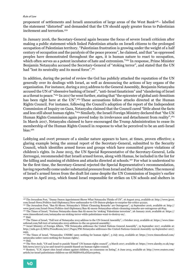proponent of settlements and Israeli annexation of large areas of the West Bank258– labelled the statement "distorted" and demanded that the UN should apply greater focus to Palestinian incitement and terrorism.259

In January 2016, the Secretary-General again became the focus of severe Israeli criticism after making a public statement which linked Palestinian attacks on Israeli citizens to the prolonged occupation of Palestinian territory. "Palestinian frustration is growing under the weight of a half century of occupation and the paralysis of the peace process", he claimed, and that "as oppressed peoples have demonstrated throughout the ages, it is human nature to react to occupation, which often serves as a potent incubator of hate and extremism."<sup>260</sup> In response, Prime Minister Benjamin Netanyahu accused the Secretary-General of "stoking terror", and stated that the UN had "lost its neutrality and its moral force".<sup>261</sup>

In addition, during the period of review the GoI has publicly attacked the reputation of the UN generally over its dealings with Israel, as well as denouncing the actions of key organs of the organisation. For instance, during a 2015 address to the General Assembly, Benjamin Netanyahu accused the UN of "obsessive bashing of Israel", "anti-Israel fanaticism" and "slandering of Israel as a threat to peace."262 In 2017 he went further, stating that "the epicenter of global anti-Semitism has been right here at the UN".<sup>263</sup> These accusations follow attacks directed at the Human Rights Council. For instance, following the Council's adoption of the report of the Independent Commission of Inquiry on Gaza, Netanyahu claimed that the Council cared "little about the facts and less still about human rights."264 Similarly, the Israeli Foreign Ministry declared that "the UN Human Rights Commission again proved today its irrelevance and detachment from reality".265 In March 2017, Netanyahu claimed to have encouraged the Trump Administration to cease its membership of the Human Rights Council in response to what he perceived to be an anti-Israel bias.<sup>266</sup>

Lobbying and overt pressure of a similar nature appears to have, at times, proven effective; a glaring example being the annual report of the Secretary-General, submitted to the Security Council, which identifies armed forces and groups which have committed grave violations of children's rights. In June 2015, the UN Special Representative of the Secretary-General, Leila Zerrougui, recommended that Israeli armed forces, along with Hamas, be included in the list for the killing and maiming of children and attacks directed at schools.267 For what is understood to be the first time, the Secretary-General rejected the Special Representative's recommendation, having reportedly come under substantial pressure from Israel and the United States. The removal of Israel's armed forces from the draft list came despite the UN Commission of Inquiry's earlier report in April 2015, which found Israel responsible for strikes on UN schools and shelters in

<sup>258</sup> The Jerusalem Post, "Danny Danon Appointment Shows What Netanyahu Thinks of UN", 16 August 2015, available at: http://www.jpost. com/Israel-News/Politics-And-Diplomacy/New-ambassador-to-UN-Danon-pledges-to-surprise-his-critics-412221.

<sup>259</sup> The Jerusalem Post, "Ban Ki-Moon: Netanyahu's 'Ethnic Cleansing Remarks' are Outrageous", 15 September 2016, available at: http:// www.jpost.com/Israel-News/Politics-And-Diplomacy/Ban-Ki-moon-Netanyahus-ethnic-cleansing-remarks-are-outrageous-467844.

<sup>260</sup> The Times of Israel, "Furious Netanyahu slams Ban Ki-moon for 'stoking' Palestinian terrorism", 26 January 2016, available at: https:// www.timesofisrael.com/netanyahu-un-stoking-terror-while-palestinians-want-to-destroy-us/.

<sup>261</sup> Ibid.

<sup>262</sup> The Times of Israel, "Full text of Netanyahu 2015 address to the UN General Assembly", 1 October 2015, available at: https://www.timesofisrael.com/full-text-of-netanyahu-2015-address-to-the-un-general-assembly/.

<sup>263</sup> Israel Ministry of Foreign Affairs, "PM Netanyahu addresses the United Nations General Assembly", 19 September 2017, available at: http://mfa.gov.il/MFA/PressRoom/2017/Pages/PM-Netanyahu-addresses-the-United-Nations-General-Assembly-19-September-2017. aspx.

 $264$  The Times of Israel, "Netanyahu: UNHRC cares nothing for human rights", 3 July 2015, available at: https://www.timesofisrael.com/ netanyahu-unhrc-cares-nothing-for-human-rights/.  $265$  Ibid.

<sup>266</sup> The New Arab, "US and Israel to punish 'biased' UN human-rights council", 3 March 2017, available at: https://www.alaraby.co.uk/english/news/2017/3/3/us-and-israel-to-punish-biased-un-human-rights-council.

<sup>267</sup> Reuters, "U.N. report cites Israel crimes against children, no consensus on listing", 6 June 2015, available at: http://www.reuters.com/ article/us-israel-palestinians-children-un-idUSKBN0OL2DZ20150605.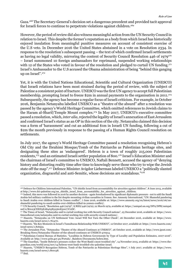Gaza.268 The Secretary-General's decision set a dangerous precedent and provided tacit approval for Israeli forces to continue to perpetrate violations against children.269

However, the period of review did also witness meaningful action from the UN Security Council in relation to Israel. This despite the former's reputation as a body from which Israel has historically enjoyed insulation from meaningful punitive measures on account of consistent exercise of the U.S veto. In December 2016 the United States abstained in a vote on Resolution 2334. In response to the resolution's subsequent passing – the text of which confirmed Israeli settlements as having no legal validity, mirroring the content of Security Council Resolution 446 of  $1979^{270}$ – Israel summoned 10 foreign ambassadors for reprimand, suspended working relationships with 12 of the States who voted in favour of the resolution and pledged to curtail UN funding.<sup>271</sup> Israel's Ambassador to the U.S accused the Obama administration of being "behind this ganging up on Israel".<sup>272</sup>

Yet, it is with the United Nations Educational, Scientific and Cultural Organization (UNESCO) that Israeli relations have been most strained during the period of review, with the subject of Palestine a consistent point of fracture. UNESCO was the first UN agency to accept full Palestinian membership, prompting Israel to freeze \$2m in annual payments to the organisation in 2011.<sup>273</sup> Subsequently, the agency has become a regular focus of Israeli criticism. For example, in October 2016, Benjamin Netanyahu labelled UNESCO as a "theatre of the absurd" after a resolution was passed by the agency's World Heritage Committee, which omitted references to Jewish claims to the Haram al-Sharif/Temple Mount complex.<sup>274</sup> In May 2017, UNESCO's executive committee passed a resolution, which, *inter alia*, rejected the legality of Israel's annexation of East Jerusalem and confirmed Israel's status as an OP in this section of the city. Netanyahu claimed this decision was a form of 'harassment' and cut an additional \$1m in Israeli UN funding, following a cut of \$2m the month previously in response to the passing of a Human Rights Council resolution on settlements.

In July 2017, the agency's World Heritage Committee passed a resolution recognising Hebron's Old City and the Ibrahimi Mosque/Tomb of the Patriarchs as Palestinian heritage sites, and designating these sites as 'endangered'. Hebron is a town of roughly 215,000 Palestinian residents,<sup>275</sup> and an estimated Israeli settler population of 800.<sup>276</sup> Israel's Education Minister and the chairman of Israel's committee to UNESCO, Naftali Bennett, accused the agency of "denying history and distorting reality time after time to knowingly serve those who try to wipe the Jewish state off the map".277 Defence Minister Avigdor Lieberman labeled UNESCO a "politically slanted organization, disgraceful and anti-Semitic, whose decisions are scandalous."278

278 Ibid.

<sup>268</sup> Defence for Children International Palestine, "UN shields Israel from accountability for atrocities against children", 8 June 2015, available at http://www.dci-palestine.org/un\_shields\_israel\_from\_accountability\_for\_atrocities\_against\_children.

<sup>269</sup> Indeed, this move was followed in 2016 by another decision - again foreshadowed by significant diplomatic pressure - not to add the Saudi Arabia-led military coalition to the list despite mounting civilian casualties in Yemen. See: Amnesty International, "UN: Shameful pandering to Saudi Arabia over children killed in Yemen conflict", 7 June 2016, available at: https://www.amnesty.org/en/latest/news/2016/06/unshameful-pandering-to-saudi-arabia-over-children-killed-in-yemen-conflict/.

<sup>270</sup> UN Security Council, "Resolution 446 (1979)", S/RES/446 (1979), 22 March 1979, available at: https://unispal.un.org/DPA/DPR/unispal. nsf/0/BA123CDED3EA84A5852560E50077C2DC.

<sup>271</sup> The Times of Israel, "Netanyahu said to curtail working ties with Security Council nations", 25 December 2016, available at: https://www. timesofisrael.com/netanyahu-said-to-curtial-working-ties-with-security-council-nations/.

<sup>272</sup> Haaretz, "Netanyahu on UN Settlement Vote: Israel Will Not Turn the Other Cheek", 26 December 2016, available at: https://www. haaretz.com/israel-news/1.761470.

<sup>273</sup> Haaretz, "Six Key Moments in Israel's Tumultuous Relationship With UNESCO", 12 October 2017, available at: https://www.haaretz.com/ israel-news/1.816955.

<sup>274</sup> The Jerusalem Post, "Netanyahu: 'Theatre of the Absurd Continues at UNESCO", 26 October 2016, available at: http://www.jpost.com/ Breaking-News/Netanyahu-Theater-of-the-absurd-continues-at-UNESCO-470914.

<sup>275</sup> Palestinian Central Bureau of Statistics. "Localities in Hebron Governorate by Type of Locality and Population Estimates, 2007-2016". Available at: http://www.pcbs.gov.ps/Portals/\_Rainbow/Documents/hebrn.htm.

<sup>276</sup> The Guardian, "Inside Hebron's pressure cooker: the West Bank's most troubled city", 14 November 2015, available at: https://www.theguardian.com/world/2015/nov/14/hebron-west-bank-troubled-city-palestine-israel.

<sup>277</sup> Haaretz, "UNESCO Recognizes Hebron, Tomb of the Patriarchs as Palestinian Heritage Sites", 7 July 2017, available at: https://www. haaretz.com/israel-news/1.800138.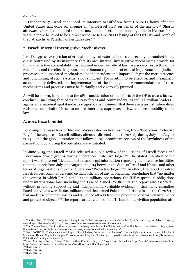In October 2017, Israel announced its intention to withdraw from UNESCO, hours after the United States had done so, alleging an "anti-Israel bias" on behalf of the agency.<sup>279</sup> Shortly afterwards, Israel announced the first new batch of settlement housing units in Hebron for 15 years; a move believed to be a direct response to UNESCO's listing of the Old City and Tomb of the Patriarchs as Palestinian heritage sites.<sup>280</sup>

#### **2. Israeli Internal Investigative Mechanisms**

Israel's aggressive rejection of critical findings of external bodies concerning its conduct in the oPt is buttressed by its insistence that its own internal investigative mechanisms provide for full and effective accountability, as required under the rule of law. In a society respectful of the rule of law and the effective protection of human rights, it is of critical importance that judicial processes and associated mechanisms be independent and impartial,281 yet the mere presence and functioning of such systems is not sufficient. For scrutiny to be effective, and meaningful accountability delivered, the implementation of the findings and recommendations of these mechanisms and processes must be faithfully and vigorously pursued.

As will be shown, in relation to the oPt, consideration of the efforts of the OP to assess its own conduct – including that of its military forces and commanders, as well as civilian leaders – against international legal standards suggests, at a minimum, that there exists an institutionalised resistance on behalf of Israel to ensure, inter alia, supremacy of law, and accountability to the law.

#### **A. 2014 Gaza Conflict**

Following the mass loss of life and physical destruction resulting from 'Operation Protective Edge' – the large-scale Israeli military offensive directed at the Gaza Strip during July and August 2014 – and the global attention that followed, two prominent reviews of the lawfulness of the parties' conduct during the operation were initiated.

In June 2015, the Israeli MoFA released a public review of the actions of Israeli forces and Palestinian armed groups during 'Operation Protective Edge'.<sup>282</sup> The stated intention of the report was to present "detailed factual and legal information regarding the intensive hostilities that took place from July 7 to August 26, 2014 between the State of Israel and Hamas and other terrorist organisations [during] Operation "Protective Edge"."283 In effect, the report absolved Israeli forces, commanders and civilian officials of any wrongdoing, concluding that "no matter the context in which Israel conducts its military operations, the IDF respects its obligations under international law, including the Law of Armed Conflict."<sup>284</sup> The report also asserted – without providing supporting and independently verifiable evidence – that many casualties listed as civilians were in fact militants and that armed Palestinian factions inside the Gaza Strip had made use of human shields and launched attacks from the protection of urban environments and protected objects.<sup>285</sup> The report further claimed that "[h]arm to the civilian population also

283 Ibid., para. 1.

<sup>279</sup> The Guardian, "UNESCO: Israel joins US in quitting UN heritage agency over 'anti-Israel bias'", 12 October 2017, available at: https:// www.theguardian.com/world/2017/oct/12/us-withdraw-unesco-december-united-nations.

<sup>280</sup> The Times of Israel, "For first time in 15 years, Israel okays new homes for Hebron settlers", 16 October 2017, available at: https://www. timesofisrael.com/for-first-time-in-15-years-israel-okays-new-homes-for-hebron-settlers/.

<sup>&</sup>lt;sup>281</sup> See: UNOHCHR, "Independence and Impartiality of Judges, Prosecutors and Lawyers", Human Rights in Administration of Justice: A Manual on Human Rights for Judges, Prosecutors and Lawyers, Chapter. 4, p. 113-158, available at: http://www.ohchr.org/Documents/ Publications/training9chapter4en.pdf.

<sup>282</sup> Israel Ministry of Foreign Affairs, "The 2014 Gaza Conflict, 7 July – 26 August 2014: Factual and Legal Aspects", May 2015, available at: http://mfa.gov.il/ProtectiveEdge/Documents/2014GazaConflictFullReport.pdf.

<sup>284</sup> Ibid., para. 40.

<sup>285</sup> Ibid., para. 8.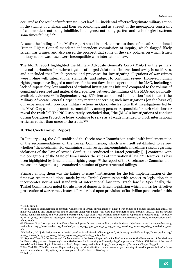occurred as the result of unfortunate — yet lawful — incidental effects of legitimate military action in the vicinity of civilians and their surroundings, and as a result of the inescapable constraint of commanders not being infallible, intelligence not being perfect and technological systems sometimes failing." 286

As such, the findings of the MoFA report stood in stark contrast to those of the aforementioned Human Rights Council-mandated independent commission of inquiry, which flagged likely Israeli war crimes, and also raised the prospect that some of the very policies on which Israeli military action was based were incompatible with international law.

The MoFA report highlighted the Military Advocate General's Corp ('MAG') as the primary internal mechanism for the investigation of alleged violations of international law by Israeli forces, and concluded that Israeli systems and processes for investigating allegations of war crimes were in-line with international standards, and subject to continual review. However, human rights groups have flagged a number of inherent flaws in the operation of the MAG, including a lack of impartiality, low numbers of criminal investigations initiated compared to the volume of complaints received and material discrepancies between the findings of the MAG and publically available evidence.287 In September 2014, B'Tselem announced its intention "not to assist the Military Advocate General Corps in any matter concerning such investigations [on the basis of] our experience with previous military actions in Gaza, which shows that investigations led by the MAG Corps do not promote accountability among persons responsible for such violations or reveal the truth."288 The NGO separately concluded that, "the [MAG's investigations of conduct during Operation Protective Edge] continue to serve as a façade intended to block international criticism rather than uncover the truth."289

#### **B. The Ciechanover Report**

In January 2014, the GoI established the Ciechanover Commission, tasked with implementation of the recommendations of the Turkel Commission, which was itself established to review whether "the mechanism for examining and investigating complaints and claims raised regarding violations of the Law of Armed Conflict, as conducted in Israel generally [...] conforms with the obligations of the State of Israel under the rules of international law."290 However, as has been highlighted by Israeli human rights groups,<sup>291</sup> the report of the Ciechanover Commission – released in August 2015 – contained a number of grave structural failings.

Primary among them was the failure to issue "instructions for the full implementation of the first two recommendations made by the Turkel Commission with respect to legislation that incorporates norms and standards of international law into Israeli law."292 Specifically, the Turkel Commission noted the absence of domestic Israeli legislation which allows for effective prosecution of war crimes. Instead, Israel relied upon provisions of its civilian penal code for this

<sup>286</sup> Ibid., para. 8.

<sup>&</sup>lt;sup>287</sup> For a detailed consideration of apparent weaknesses in Israel's investigation of alleged war crimes and crimes against humanity, see: maybe we can add also international bodies' criticism along with Badil's –this would also strengthen badil's profile. BADIL, "No Safe Place: Crimes against Humanity and War Crimes Perpetrated by High-level Israeli Officials in the course of 'Operation Protective Edge'", February 2016, p. 96-99, available at: https://www.badil.org/phocadownloadpap/badil-new/publications/research/in-focus/icc-submission-badil. feb.2016.pdf

<sup>&</sup>lt;sup>288</sup> B'Tselem, "Re: Investigation of incidents that took place during recent military action in Gaza: July-August 2014", 4 September 2014, available at: http://www.btselem.org/download/201400904\_15390\_letter\_to\_mag\_corps\_regarding\_protective\_edge\_investiations\_eng. pdf

<sup>&</sup>lt;u>.</u><br>289 B'Tselem. "ICC jurisdiction cannot be denied based on Israel's façade of investigation", 16 July 2015, available at: http://www.btselem.org/ press\_releases/20150715\_israel\_claims\_regarding\_icc\_authority\_unfounded

<sup>&</sup>lt;sup>290</sup> "Report of Team for the Review and Implementation of the Second Report of the Public Commission for the Examination of the Maritime Incident of May 31st 2010 Regarding Israel's Mechanisms for Examining and Investigating Complaints and Claims of Violations of the Law of Armed Conflict According to International Law", August 2015, available at: http://www.pmo.gov.il/Documents/ReportEng.pdf.

<sup>&</sup>lt;sup>291</sup> See: Yesh Din, "The Ciechanover Report – dodging the criminalization of war crimes and practical steps toward implementation", 1 October 2015, available at: http://files.yesh-din.org/userfiles/Ciechanover%20Eng.pdf.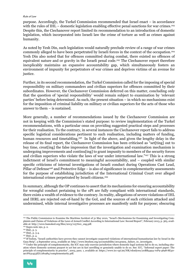purpose. Accordingly, the Turkel Commission recommended that Israel enact – in accordance with the rules of IHL – domestic legislation enabling effective penal sanctions for war crimes.<sup>293</sup> Despite this, the Ciechanover report limited its recommendation to an introduction of domestic legislation, which incorporated into Israeli law the crime of torture as well as crimes against humanity.

As noted by Yesh Din, such legislation would naturally preclude review of a range of war crimes commonly alleged to have been perpetrated by Israeli forces in the context of the occupation.294 Yesh Din also noted that for offences committed during combat, there existed no offences of equivalent nature and or gravity in the Israeli penal code.<sup>295</sup> The Ciechanover report therefore inexplicably maintains an expansive accountability gap, which simultaneously fosters an environment of impunity for perpetrators of war crimes and deprives victims of an avenue for justice.

Further, in its second recommendation, the Turkel Commission called for the imposing of special responsibility on military commanders and civilian superiors for offences committed by their subordinates. However, the Ciechanover Commission deferred on this matter, concluding only that the question of 'special responsibility' would remain subject to examination by 'relevant parties' before being determined. As such, the present situation – in which no mechanisms exist for the imposition of criminal liability on military or civilian superiors for the acts of those who answer to them – is sustained.

More generally, a number of recommendations issued by the Ciechanover Commission are not in keeping with the Commission's stated purpose: to review implementation of the Turkel recommendations, with a particular onus on providing suggested practical steps and processes for their realisation. To the contrary, in several instances the Ciechanover report fails to address specific logistical considerations pertinent to such realisation, including matters of funding, human resources and timetabling.<sup>296</sup> In light of the above, and given the lengthy delay in the release of its final report, the Ciechanover Commission has been criticised as "set[ting] out to buy time, creat[ing] the false impression that the investigation and examination mechanism is undergoing improvements and continu[ing] to grant impunity to members of the security forces and civilian superiors who violate the laws of war under international law."297 This is a strong indictment of Israel's commitment to meaningful accountability, and – coupled with similar specific criticisms of internal investigations of Israeli conduct during Operations Cast Lead, Pillar of Defense<sup>298</sup> and Protective Edge – is also of significance in complementarity assessments for the purpose of establishing jurisdiction of the International Criminal Court over alleged international crimes perpetrated by Israeli citizens.<sup>299</sup>

In summary, although the OP continues to assert that its mechanisms for ensuring accountability for wrongful conduct pertaining to the oPt are fully compliant with international standards, there exists a wealth of evidence to the contrary. In reality, allegations of severe violations of IHL and IHRL are rejected out-of-hand by the GoI, and the sources of such criticism attacked and undermined, while internal investigative processes are manifestly unfit for purpose; obscuring

<sup>293</sup> The Public Commission to Examine the Maritime Incident of 31 May 2010, "Israel's Mechanisms for Examining and Investigating Complaints and Claims of Violations of the Laws of Armed Conflict According to International Law: Second Report", February 2013, p. 365, available at: http://www.hamoked.org/files/2013/1157610\_eng.pdf.

<sup>294</sup> Supra note 291, p. 2.

<sup>295</sup> Ibid., p. 3.

<sup>296</sup> Ibid., p. 3-4.

<sup>297</sup> Ibid., p. 4.

<sup>298</sup> B'Tselem, "Israeli authorities have proven they cannot investigate suspected violations of international humanitarian law by Israel in the Gaza Strip", 5 September 2014, available at: http://www.btselem.org/accountability/20140905\_failure\_to\_investigate.

<sup>299</sup> Under the principle of complementarity, the ICC may only exercise jurisdiction where domestic legal systems fail to do so, including situation where domestic systems purport to act but are in fact unwilling or genuinely unable to do so. See: ICC, "Informal expert paper: The principle of complementarity in practice", 2003, para. 1, available at: https://www.icc-cpi.int/NR/rdonlyres/20BB4494-70F9-4698-8E30- 907F631453ED/281984/complementarity.pdf.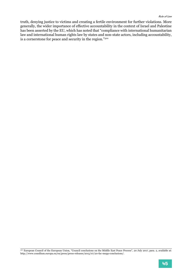truth, denying justice to victims and creating a fertile environment for further violations. More generally, the wider importance of effective accountability in the context of Israel and Palestine has been asserted by the EU, which has noted that "compliance with international humanitarian law and international human rights law by states and non-state actors, including accountability, is a cornerstone for peace and security in the region."300

<sup>&</sup>lt;sup>300</sup> European Council of the European Union, "Council conclusions on the Middle East Peace Process", 20 July 2017, para. 2, available at: http://www.consilium.europa.eu/en/press/press-releases/2015/07/20-fac-mepp-conclusions/.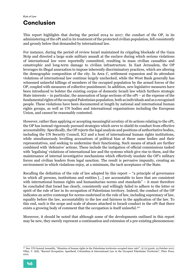## **Conclusion**

This report highlights that during the period 2014 to 2017, the conduct of the OP, in its administering of the oPt and in its treatment of the protected civilian population, fell consistently and grossly below that demanded by international law.

For instance, during the period of review Israel maintained its crippling blockade of the Gaza Strip and directed a large scale military assault at the enclave during which serious violations of international law were reportedly committed, resulting in mass civilian casualties and catastrophic and long-term damage to civilian infrastructure. In East Jerusalem, the OP leverages its illegal annexation to impose inherently discriminatory practices, which are altering the demographic composition of the city. In Area C, settlement expansion and its attendant violations of international law continue largely unchecked, while the West Bank generally has witnessed unlawful killings of members of the occupied population by the armed forces of the OP, coupled with measures of collective punishment. In addition, new legislative measures have been introduced to bolster the existing corpus of domestic Israeli law which furthers strategic State interests – in particular, the annexation of large sections of the oPt – at the expense of the fundamental rights of the occupied Palestinian population, both as individuals and as a recognised people. These violations have been documented at length by national and international human rights groups, as well as UN bodies and international organisations including the European Union, and cannot be reasonably contested.

However, rather than applying or accepting meaningful scrutiny of its actions relating to the oPt, the OP has instead vigorously pursued strategies which serve to shield its conduct from effective accountability. Specifically, the OP rejects the legal analysis and positions of authoritative bodies, including the UN Security Council, ICJ and a host of international human rights institutions, while simultaneously levelling accusations of political bias at these same bodies and their representatives, and seeking to undermine their functioning. Such means of attack are further combined with 'defensive' actions. These include the instigation of official commissions tasked with 'legalising' violations of international law and the systems which give rise to them, and the maintenance of internal investigative mechanisms which effectively insulate the OP's military forces and civilian leaders from legal sanction. The result is pervasive impunity, creating an environment in which violations enjoy, at a minimum, the tacit acceptance of the State.

Recalling the definition of the rule of law adopted by this report – "a principle of governance in which all persons, institutions and entities […] are accountable to laws that are consistent with international human rights and humanitarian norms and standards" – it must therefore be concluded that Israel has clearly, consistently and willingly failed to adhere to the letter or spirit of the rule of law in its occupation of Palestinian territory. Indeed, the conduct of the OP indicates an active contempt for norms enshrined in the rule of law, including supremacy of law, equality before the law, accountability to the law and fairness in the application of the law. To this end, such is the scope and scale of abuses attached to Israeli conduct in the oPt that there exists a growing body of comment that the occupation is itself unlawful.<sup>301</sup>

Moreover, it should be noted that although some of the developments outlined in this report may be new, they merely represent a continuation and extension of a pre-existing phenomenon:

<sup>&</sup>lt;sup>301</sup> See: UN General Assembly, "Situation of human rights in the Palestinian territories occupied since 1967", A/72/43106, 23 October 2017; Tilley, V. (Ed), "Beyond Occupation: Apartheid, Colonialism & International Law in the Occupied Palestinian Territories", Pluto Press, 2012.

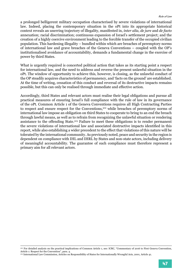a prolonged belligerent military occupation characterised by severe violations of international law. Indeed, placing the contemporary situation in the oPt into its appropriate historical context reveals an unerring trajectory of illegality, manifested in, *inter alia*, *de jure* and *de facto* annexation; racial discrimination; continuous expansion of Israel's settlement project; and the creation of a highly coercive environment leading to the forcible transfer of the occupied civilian population. This hardening illegality – bundled within which are breaches of peremptory norms of international law and grave breaches of the Geneva Conventions – coupled with the OP's institutionalised avoidance of accountability, demands a fundamental change in the exercise of power by third States.

What is urgently required is concerted political action that takes as its starting point a respect for international law, and the need to address and reverse the present unlawful situation in the oPt. The window of opportunity to achieve this, however, is closing, as the unlawful conduct of the OP steadily acquires characteristics of permanency, and 'facts on the ground' are established. At the time of writing, cessation of this conduct and reversal of its destructive impacts remains possible, but this can only be realised through immediate and effective action.

Accordingly, third States and relevant actors must realise their legal obligations and pursue all practical measures of ensuring Israel's full compliance with the rule of law in its governance of the oPt. Common Article 1 of the Geneva Conventions requires all High Contracting Parties to respect and ensure respect for the Conventions,<sup>302</sup> while breaches of peremptory norms of international law impose an obligation on third States to cooperate to bring to an end the breach through lawful means, as well as to refrain from recognizing the unlawful situation or rendering assistance to the offending State.303 Failure to meet these obligations is to render permanent the severe violations of international law and associated destructive impacts identified in this report, while also establishing a wider precedent to the effect that violations of this nature will be tolerated by the international community. As previously noted, peace and security in the region is dependent on compliance with IHL and IHRL by States and non-state actors, including delivery of meaningful accountability. The guarantee of such compliance must therefore represent a primary aim for all relevant actors.

<sup>302</sup> For detailed analysis on the practical implications of Common Article 1, see: ICRC, "Commentary of 2016 to First Geneva Convention, Article 1: Respect for the Convention", para. 4.

<sup>303</sup> International Law Commission, Articles on Responsibility of States for Internationally Wrongful Acts, 2001, Article 41.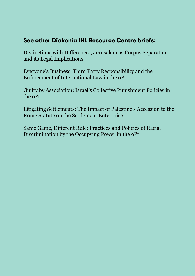## **See other Diakonia IHL Resource Centre briefs:**

Distinctions with Differences, Jerusalem as Corpus Separatum and its Legal Implications

Everyone's Business, Third Party Responsibility and the Enforcement of International Law in the oPt

Guilty by Association: Israel's Collective Punishment Policies in the oPt

Litigating Settlements: The Impact of Palestine's Accession to the Rome Statute on the Settlement Enterprise

Same Game, Different Rule: Practices and Policies of Racial Discrimination by the Occupying Power in the oPt